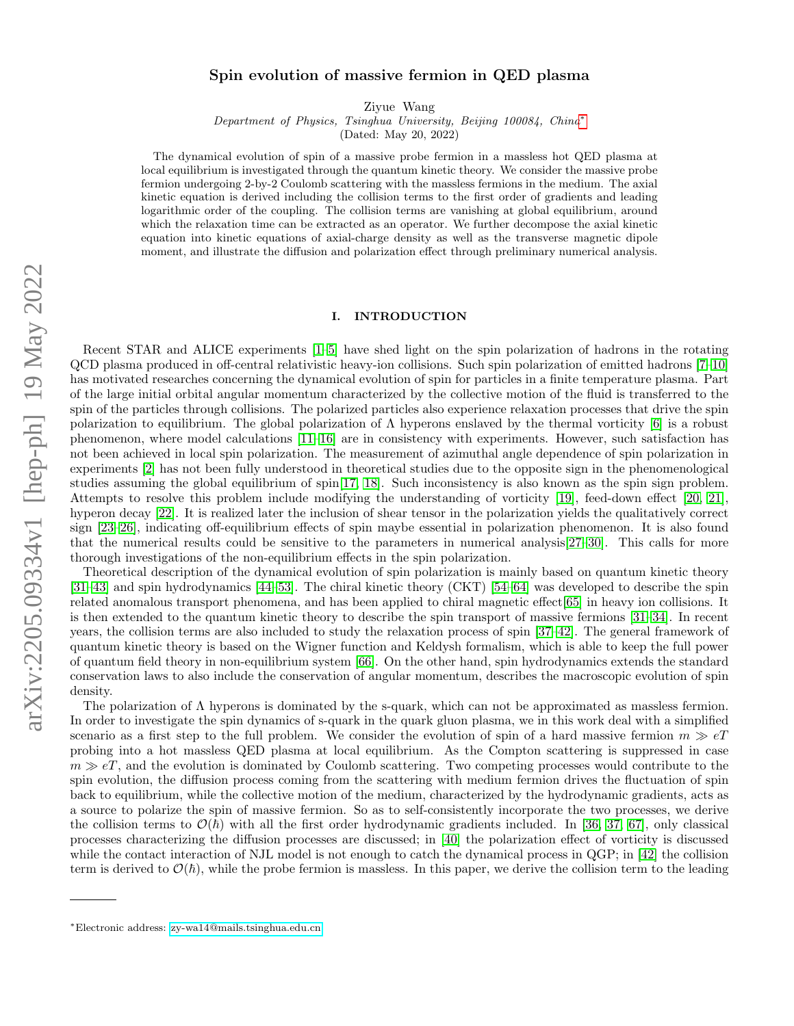# arXiv:2205.09334v1 [hep-ph] 19 May 2022 arXiv:2205.09334v1 [hep-ph] 19 May 2022

# Spin evolution of massive fermion in QED plasma

Ziyue Wang

Department of Physics, Tsinghua University, Beijing 100084, China[∗](#page-0-0)

(Dated: May 20, 2022)

The dynamical evolution of spin of a massive probe fermion in a massless hot QED plasma at local equilibrium is investigated through the quantum kinetic theory. We consider the massive probe fermion undergoing 2-by-2 Coulomb scattering with the massless fermions in the medium. The axial kinetic equation is derived including the collision terms to the first order of gradients and leading logarithmic order of the coupling. The collision terms are vanishing at global equilibrium, around which the relaxation time can be extracted as an operator. We further decompose the axial kinetic equation into kinetic equations of axial-charge density as well as the transverse magnetic dipole moment, and illustrate the diffusion and polarization effect through preliminary numerical analysis.

#### I. INTRODUCTION

Recent STAR and ALICE experiments [\[1](#page-18-0)[–5\]](#page-18-1) have shed light on the spin polarization of hadrons in the rotating QCD plasma produced in off-central relativistic heavy-ion collisions. Such spin polarization of emitted hadrons [\[7–](#page-18-2)[10\]](#page-18-3) has motivated researches concerning the dynamical evolution of spin for particles in a finite temperature plasma. Part of the large initial orbital angular momentum characterized by the collective motion of the fluid is transferred to the spin of the particles through collisions. The polarized particles also experience relaxation processes that drive the spin polarization to equilibrium. The global polarization of Λ hyperons enslaved by the thermal vorticity [\[6\]](#page-18-4) is a robust phenomenon, where model calculations [\[11–](#page-18-5)[16\]](#page-18-6) are in consistency with experiments. However, such satisfaction has not been achieved in local spin polarization. The measurement of azimuthal angle dependence of spin polarization in experiments [\[2\]](#page-18-7) has not been fully understood in theoretical studies due to the opposite sign in the phenomenological studies assuming the global equilibrium of spin[\[17,](#page-18-8) [18\]](#page-18-9). Such inconsistency is also known as the spin sign problem. Attempts to resolve this problem include modifying the understanding of vorticity [\[19\]](#page-18-10), feed-down effect [\[20,](#page-18-11) [21\]](#page-18-12), hyperon decay [\[22\]](#page-18-13). It is realized later the inclusion of shear tensor in the polarization yields the qualitatively correct sign [\[23–](#page-18-14)[26\]](#page-18-15), indicating off-equilibrium effects of spin maybe essential in polarization phenomenon. It is also found that the numerical results could be sensitive to the parameters in numerical analysis[\[27–](#page-18-16)[30\]](#page-18-17). This calls for more thorough investigations of the non-equilibrium effects in the spin polarization.

Theoretical description of the dynamical evolution of spin polarization is mainly based on quantum kinetic theory [\[31–](#page-18-18)[43\]](#page-19-0) and spin hydrodynamics [\[44–](#page-19-1)[53\]](#page-19-2). The chiral kinetic theory (CKT) [\[54–](#page-19-3)[64\]](#page-19-4) was developed to describe the spin related anomalous transport phenomena, and has been applied to chiral magnetic effect[\[65\]](#page-19-5) in heavy ion collisions. It is then extended to the quantum kinetic theory to describe the spin transport of massive fermions [\[31–](#page-18-18)[34\]](#page-18-19). In recent years, the collision terms are also included to study the relaxation process of spin [\[37–](#page-18-20)[42\]](#page-19-6). The general framework of quantum kinetic theory is based on the Wigner function and Keldysh formalism, which is able to keep the full power of quantum field theory in non-equilibrium system [\[66\]](#page-19-7). On the other hand, spin hydrodynamics extends the standard conservation laws to also include the conservation of angular momentum, describes the macroscopic evolution of spin density.

The polarization of Λ hyperons is dominated by the s-quark, which can not be approximated as massless fermion. In order to investigate the spin dynamics of s-quark in the quark gluon plasma, we in this work deal with a simplified scenario as a first step to the full problem. We consider the evolution of spin of a hard massive fermion  $m \gg eT$ probing into a hot massless QED plasma at local equilibrium. As the Compton scattering is suppressed in case  $m \gg eT$ , and the evolution is dominated by Coulomb scattering. Two competing processes would contribute to the spin evolution, the diffusion process coming from the scattering with medium fermion drives the fluctuation of spin back to equilibrium, while the collective motion of the medium, characterized by the hydrodynamic gradients, acts as a source to polarize the spin of massive fermion. So as to self-consistently incorporate the two processes, we derive the collision terms to  $\mathcal{O}(\hbar)$  with all the first order hydrodynamic gradients included. In [\[36,](#page-18-21) [37,](#page-18-20) [67\]](#page-19-8), only classical processes characterizing the diffusion processes are discussed; in [\[40\]](#page-18-22) the polarization effect of vorticity is discussed while the contact interaction of NJL model is not enough to catch the dynamical process in QGP; in [\[42\]](#page-19-6) the collision term is derived to  $\mathcal{O}(\hbar)$ , while the probe fermion is massless. In this paper, we derive the collision term to the leading

<span id="page-0-0"></span><sup>∗</sup>Electronic address: [zy-wa14@mails.tsinghua.edu.cn](mailto:zy-wa14@mails.tsinghua.edu.cn)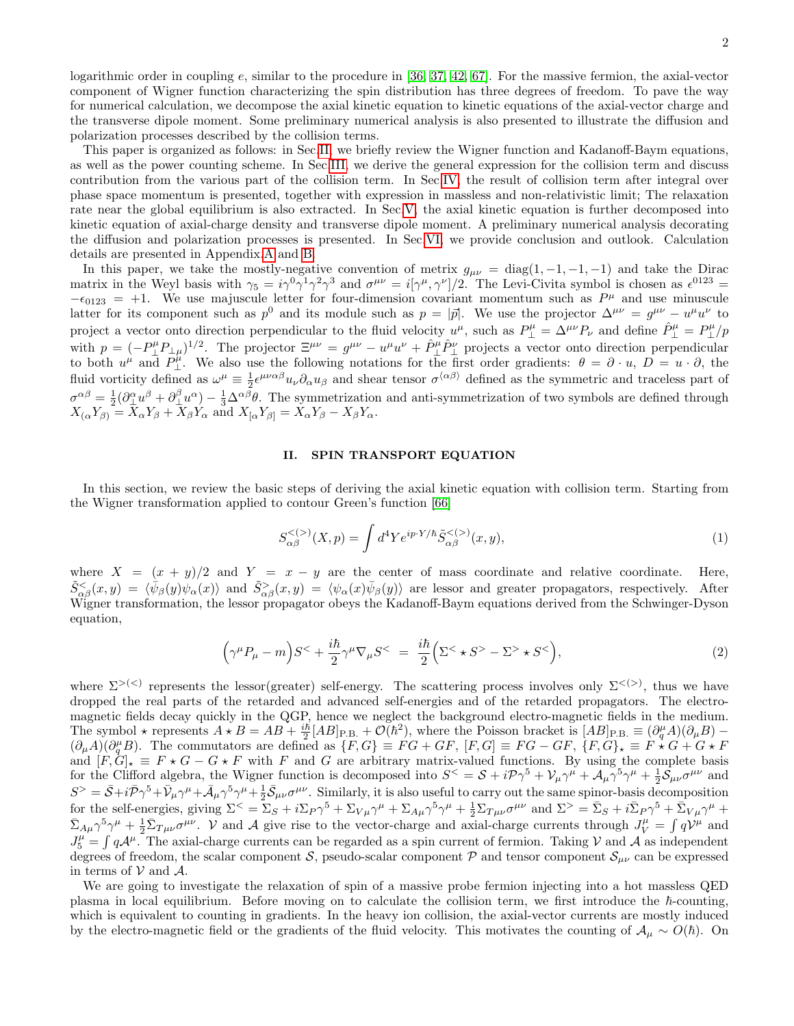logarithmic order in coupling e, similar to the procedure in [\[36,](#page-18-21) [37,](#page-18-20) [42,](#page-19-6) [67\]](#page-19-8). For the massive fermion, the axial-vector component of Wigner function characterizing the spin distribution has three degrees of freedom. To pave the way for numerical calculation, we decompose the axial kinetic equation to kinetic equations of the axial-vector charge and the transverse dipole moment. Some preliminary numerical analysis is also presented to illustrate the diffusion and polarization processes described by the collision terms.

This paper is organized as follows: in Sec[.II,](#page-1-0) we briefly review the Wigner function and Kadanoff-Baym equations, as well as the power counting scheme. In Sec[.III,](#page-2-0) we derive the general expression for the collision term and discuss contribution from the various part of the collision term. In Sec[.IV,](#page-6-0) the result of collision term after integral over phase space momentum is presented, together with expression in massless and non-relativistic limit; The relaxation rate near the global equilibrium is also extracted. In Sec[.V,](#page-9-0) the axial kinetic equation is further decomposed into kinetic equation of axial-charge density and transverse dipole moment. A preliminary numerical analysis decorating the diffusion and polarization processes is presented. In Sec[.VI,](#page-12-0) we provide conclusion and outlook. Calculation details are presented in Appendix[.A](#page-13-0) and [B.](#page-17-0)

In this paper, we take the mostly-negative convention of metrix  $g_{\mu\nu} = \text{diag}(1, -1, -1, -1)$  and take the Dirac matrix in the Weyl basis with  $\gamma_5 = i\gamma^0 \gamma^1 \gamma^2 \gamma^3$  and  $\sigma^{\mu\nu} = i[\gamma^\mu, \gamma^\nu]/2$ . The Levi-Civita symbol is chosen as  $\epsilon^{0123} =$  $-\epsilon_{0123}$  = +1. We use majuscule letter for four-dimension covariant momentum such as  $P^{\mu}$  and use minuscule latter for its component such as  $p^0$  and its module such as  $p = |\vec{p}|$ . We use the projector  $\Delta^{\mu\nu} = g^{\mu\nu} - u^{\mu}u^{\nu}$  to project a vector onto direction perpendicular to the fluid velocity  $u^{\mu}$ , such as  $P^{\mu}_{\perp} = \Delta^{\mu\nu} P_{\nu}$  and define  $\hat{P}^{\mu}_{\perp} = P^{\mu}_{\perp}/p$ with  $p = (-P^{\mu}_{\perp}P_{\perp\mu})^{1/2}$ . The projector  $\Xi^{\mu\nu} = g^{\mu\nu} - u^{\mu}u^{\nu} + \hat{P}^{\mu}_{\perp}\hat{P}^{\nu}_{\perp}$  projects a vector onto direction perpendicular to both  $u^{\mu}$  and  $\overline{P}_{\perp}^{\mu}$ . We also use the following notations for the first order gradients:  $\theta = \partial \cdot u$ ,  $\overline{D} = u \cdot \partial$ , the fluid vorticity defined as  $\omega^{\mu} \equiv \frac{1}{2} \epsilon^{\mu\nu\alpha\beta} u_{\nu} \partial_{\alpha} u_{\beta}$  and shear tensor  $\sigma^{\langle \alpha\beta \rangle}$  defined as the symmetric and traceless part of  $\sigma^{\alpha\beta} = \frac{1}{2} (\partial^{\alpha}_{\perp} u^{\beta} + \partial^{\beta}_{\perp} u^{\alpha}) - \frac{1}{3} \Delta^{\alpha\beta} \theta$ . The symmetrization and anti-symmetrization of two symbols are defined through  $X_{(\alpha}Y_{\beta)} = X_{\alpha}Y_{\beta} + \overline{X}_{\beta}Y_{\alpha}$  and  $X_{[\alpha}Y_{\beta]} = X_{\alpha}Y_{\beta} - X_{\beta}Y_{\alpha}$ .

#### <span id="page-1-0"></span>II. SPIN TRANSPORT EQUATION

In this section, we review the basic steps of deriving the axial kinetic equation with collision term. Starting from the Wigner transformation applied to contour Green's function [\[66\]](#page-19-7)

$$
S_{\alpha\beta}^{<(>)}(X,p) = \int d^4 Y e^{ip \cdot Y/\hbar} \tilde{S}_{\alpha\beta}^{<(>)}(x,y), \tag{1}
$$

where  $X = (x + y)/2$  and  $Y = x - y$  are the center of mass coordinate and relative coordinate. Here,  $\tilde{S}^<\{\phi_\beta(y)\psi_\alpha(x)\}$  and  $\tilde{S}^>\{\phi_\alpha(x)\psi_\beta(y)\}$  are lessor and greater propagators, respectively. After Wigner transformation, the lessor propagator obeys the Kadanoff-Baym equations derived from the Schwinger-Dyson equation,

$$
(\gamma^{\mu}P_{\mu}-m)S^{<}+\frac{i\hbar}{2}\gamma^{\mu}\nabla_{\mu}S^{<} = \frac{i\hbar}{2}\Big(\Sigma^{<}\star S^{>}-\Sigma^{>}\star S^{<}\Big),\tag{2}
$$

where  $\Sigma^{>(<)}$  represents the lessor(greater) self-energy. The scattering process involves only  $\Sigma^{<(>)}$ , thus we have dropped the real parts of the retarded and advanced self-energies and of the retarded propagators. The electromagnetic fields decay quickly in the QGP, hence we neglect the background electro-magnetic fields in the medium. The symbol  $\star$  represents  $A \star B = AB + \frac{i\hbar}{2} [AB]_{\text{P.B.}} + \mathcal{O}(\hbar^2)$ , where the Poisson bracket is  $[AB]_{\text{P.B.}} \equiv (\partial_{q}^{\mu}A)(\partial_{\mu}B) (\partial_{\mu}A)(\partial_{q}^{\mu}B)$ . The commutators are defined as  $\{F,G\}\equiv FG+GF$ ,  $[F,G]\equiv FG-GF$ ,  $\{F,G\}_{\star}\equiv F\stackrel{\star}{\star}G+G\star F$ and  $[F, G]_{\star} \equiv F \star G - G \star F$  with F and G are arbitrary matrix-valued functions. By using the complete basis for the Clifford algebra, the Wigner function is decomposed into  $S^{\lt} = S + i\mathcal{P}\gamma^5 + \mathcal{V}_\mu\gamma^\mu + \mathcal{A}_\mu\gamma^5\gamma^\mu + \frac{1}{2}\mathcal{S}_{\mu\nu}\sigma^{\mu\nu}$  and  $S^>=\bar{S}+i\bar{P}\gamma^5+\bar{V}_\mu\gamma^\mu+\bar{A}_\mu\gamma^5\gamma^\mu+\frac{1}{2}\bar{S}_{\mu\nu}\sigma^{\mu\nu}$ . Similarly, it is also useful to carry out the same spinor-basis decomposition for the self-energies, giving  $\Sigma^{\leq} = \Sigma_S + i\Sigma_P \gamma^5 + \Sigma_{V\mu} \gamma^{\mu} + \Sigma_{A\mu} \gamma^5 \gamma^{\mu} + \frac{1}{2} \Sigma_{T\mu\nu} \sigma^{\mu\nu}$  and  $\Sigma^{\geq} = \bar{\Sigma}_S + i\bar{\Sigma}_P \gamma^5 + \bar{\Sigma}_{V\mu} \gamma^{\mu} +$  $\bar{\Sigma}_{A\mu}\gamma^5\gamma^{\mu} + \frac{1}{2}\bar{\Sigma}_{T\mu\nu}\sigma^{\mu\nu}$ . V and A give rise to the vector-charge and axial-charge currents through  $J_V^{\mu} = \int qV^{\mu}$  and  $J_5^{\mu} = \int q \mathcal{A}^{\mu}$ . The axial-charge currents can be regarded as a spin current of fermion. Taking V and A as independent degrees of freedom, the scalar component S, pseudo-scalar component  $\mathcal{P}$  and tensor component  $\mathcal{S}_{\mu\nu}$  can be expressed in terms of  $V$  and  $A$ .

We are going to investigate the relaxation of spin of a massive probe fermion injecting into a hot massless QED plasma in local equilibrium. Before moving on to calculate the collision term, we first introduce the  $\hbar$ -counting, which is equivalent to counting in gradients. In the heavy ion collision, the axial-vector currents are mostly induced by the electro-magnetic field or the gradients of the fluid velocity. This motivates the counting of  $A_\mu \sim O(\hbar)$ . On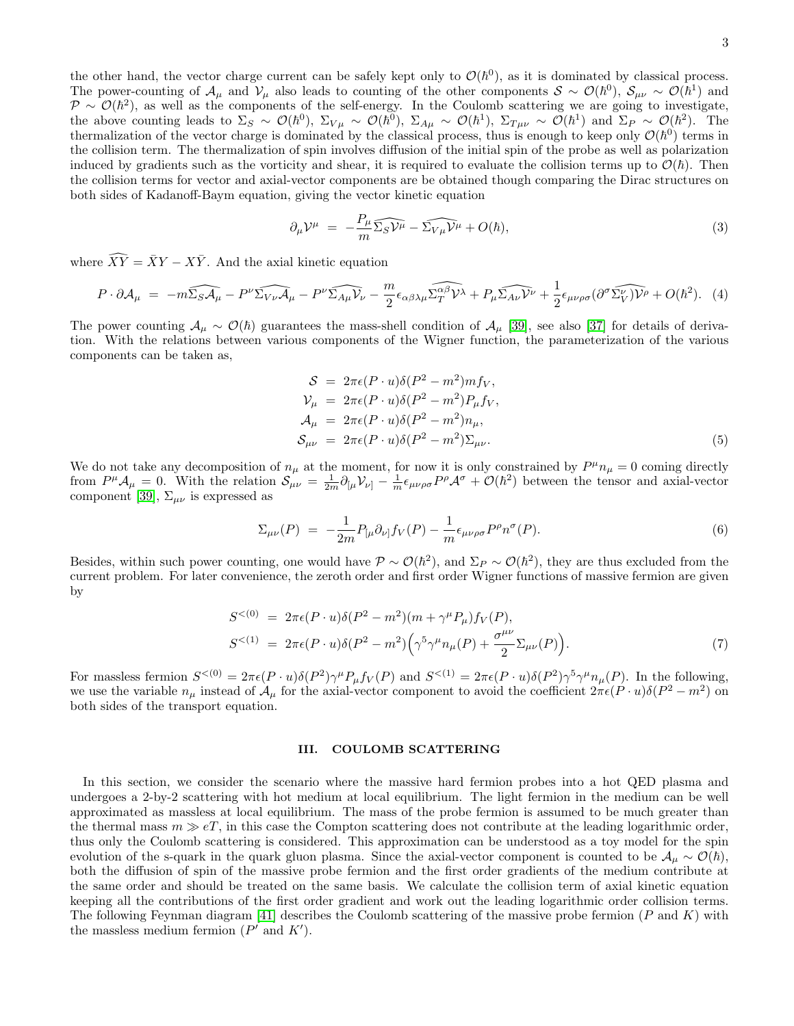the other hand, the vector charge current can be safely kept only to  $\mathcal{O}(\hbar^0)$ , as it is dominated by classical process. The power-counting of  $\mathcal{A}_{\mu}$  and  $\mathcal{V}_{\mu}$  also leads to counting of the other components  $\mathcal{S} \sim \mathcal{O}(\hbar^0)$ ,  $\mathcal{S}_{\mu\nu} \sim \mathcal{O}(\hbar^1)$  and  $\mathcal{P} \sim \mathcal{O}(\hbar^2)$ , as well as the components of the self-energy. In the Coulomb scattering we are going to investigate, the above counting leads to  $\Sigma_S \sim \mathcal{O}(\hbar^0)$ ,  $\Sigma_{V\mu} \sim \mathcal{O}(\hbar^0)$ ,  $\Sigma_{A\mu} \sim \mathcal{O}(\hbar^1)$ ,  $\Sigma_{T\mu\nu} \sim \mathcal{O}(\hbar^1)$  and  $\Sigma_P \sim \mathcal{O}(\hbar^2)$ . The thermalization of the vector charge is dominated by the classical process, thus is enough to keep only  $\mathcal{O}(\hbar^0)$  terms in the collision term. The thermalization of spin involves diffusion of the initial spin of the probe as well as polarization induced by gradients such as the vorticity and shear, it is required to evaluate the collision terms up to  $\mathcal{O}(\hbar)$ . Then the collision terms for vector and axial-vector components are be obtained though comparing the Dirac structures on both sides of Kadanoff-Baym equation, giving the vector kinetic equation

$$
\partial_{\mu} \mathcal{V}^{\mu} = -\frac{P_{\mu}}{m} \widehat{\Sigma_{S} \mathcal{V}^{\mu}} - \widehat{\Sigma_{V \mu} \mathcal{V}^{\mu}} + O(\hbar), \tag{3}
$$

where  $\widehat{XY} = \overline{X}Y - X\overline{Y}$ . And the axial kinetic equation

<span id="page-2-1"></span>
$$
P \cdot \partial \mathcal{A}_{\mu} = -m\widehat{\Sigma_{S} \mathcal{A}_{\mu}} - P^{\nu} \widehat{\Sigma_{V \nu} \mathcal{A}_{\mu}} - P^{\nu} \widehat{\Sigma_{A \mu} V_{\nu}} - \frac{m}{2} \epsilon_{\alpha \beta \lambda \mu} \widehat{\Sigma_{T}^{\alpha \beta} V^{\lambda}} + P_{\mu} \widehat{\Sigma_{A \nu} V^{\nu}} + \frac{1}{2} \epsilon_{\mu \nu \rho \sigma} (\partial^{\sigma} \widehat{\Sigma_{V}^{\nu}}) \widehat{V^{\rho}} + O(\hbar^{2}). \tag{4}
$$

The power counting  $\mathcal{A}_{\mu} \sim \mathcal{O}(\hbar)$  guarantees the mass-shell condition of  $\mathcal{A}_{\mu}$  [\[39\]](#page-18-23), see also [\[37\]](#page-18-20) for details of derivation. With the relations between various components of the Wigner function, the parameterization of the various components can be taken as,

<span id="page-2-2"></span>
$$
S = 2\pi\epsilon(P \cdot u)\delta(P^2 - m^2)m f_V,
$$
  
\n
$$
\mathcal{V}_{\mu} = 2\pi\epsilon(P \cdot u)\delta(P^2 - m^2)P_{\mu}f_V,
$$
  
\n
$$
\mathcal{A}_{\mu} = 2\pi\epsilon(P \cdot u)\delta(P^2 - m^2)n_{\mu},
$$
  
\n
$$
S_{\mu\nu} = 2\pi\epsilon(P \cdot u)\delta(P^2 - m^2)\Sigma_{\mu\nu}.
$$
\n(5)

We do not take any decomposition of  $n_{\mu}$  at the moment, for now it is only constrained by  $P^{\mu}n_{\mu}=0$  coming directly from  $P^{\mu}A_{\mu} = 0$ . With the relation  $S_{\mu\nu} = \frac{1}{2m} \partial_{[\mu}V_{\nu]} - \frac{1}{m} \epsilon_{\mu\nu\rho\sigma} P^{\rho}A^{\sigma} + \mathcal{O}(\hbar^2)$  between the tensor and axial-vector component [\[39\]](#page-18-23),  $\Sigma_{\mu\nu}$  is expressed as

$$
\Sigma_{\mu\nu}(P) = -\frac{1}{2m} P_{[\mu} \partial_{\nu]} f_V(P) - \frac{1}{m} \epsilon_{\mu\nu\rho\sigma} P^{\rho} n^{\sigma}(P). \tag{6}
$$

Besides, within such power counting, one would have  $\mathcal{P} \sim \mathcal{O}(\hbar^2)$ , and  $\Sigma_P \sim \mathcal{O}(\hbar^2)$ , they are thus excluded from the current problem. For later convenience, the zeroth order and first order Wigner functions of massive fermion are given by

$$
S^{<(0)} = 2\pi\epsilon(P \cdot u)\delta(P^2 - m^2)(m + \gamma^\mu P_\mu) f_V(P),
$$
  
\n
$$
S^{<(1)} = 2\pi\epsilon(P \cdot u)\delta(P^2 - m^2)\left(\gamma^5 \gamma^\mu n_\mu(P) + \frac{\sigma^{\mu\nu}}{2} \Sigma_{\mu\nu}(P)\right).
$$
\n(7)

For massless fermion  $S^{<(0)} = 2\pi\epsilon(P\cdot u)\delta(P^2)\gamma^\mu P_\mu f_V(P)$  and  $S^{<(1)} = 2\pi\epsilon(P\cdot u)\delta(P^2)\gamma^5\gamma^\mu n_\mu(P)$ . In the following, we use the variable  $n_{\mu}$  instead of  $\mathcal{A}_{\mu}$  for the axial-vector component to avoid the coefficient  $2\pi\epsilon(P\cdot u)\delta(P^2 - m^2)$  on both sides of the transport equation.

# <span id="page-2-0"></span>III. COULOMB SCATTERING

In this section, we consider the scenario where the massive hard fermion probes into a hot QED plasma and undergoes a 2-by-2 scattering with hot medium at local equilibrium. The light fermion in the medium can be well approximated as massless at local equilibrium. The mass of the probe fermion is assumed to be much greater than the thermal mass  $m \gg eT$ , in this case the Compton scattering does not contribute at the leading logarithmic order, thus only the Coulomb scattering is considered. This approximation can be understood as a toy model for the spin evolution of the s-quark in the quark gluon plasma. Since the axial-vector component is counted to be  $\mathcal{A}_{\mu} \sim \mathcal{O}(\hbar)$ , both the diffusion of spin of the massive probe fermion and the first order gradients of the medium contribute at the same order and should be treated on the same basis. We calculate the collision term of axial kinetic equation keeping all the contributions of the first order gradient and work out the leading logarithmic order collision terms. The following Feynman diagram [\[41\]](#page-19-9) describes the Coulomb scattering of the massive probe fermion  $(P \text{ and } K)$  with the massless medium fermion  $(P'$  and  $K'$ ).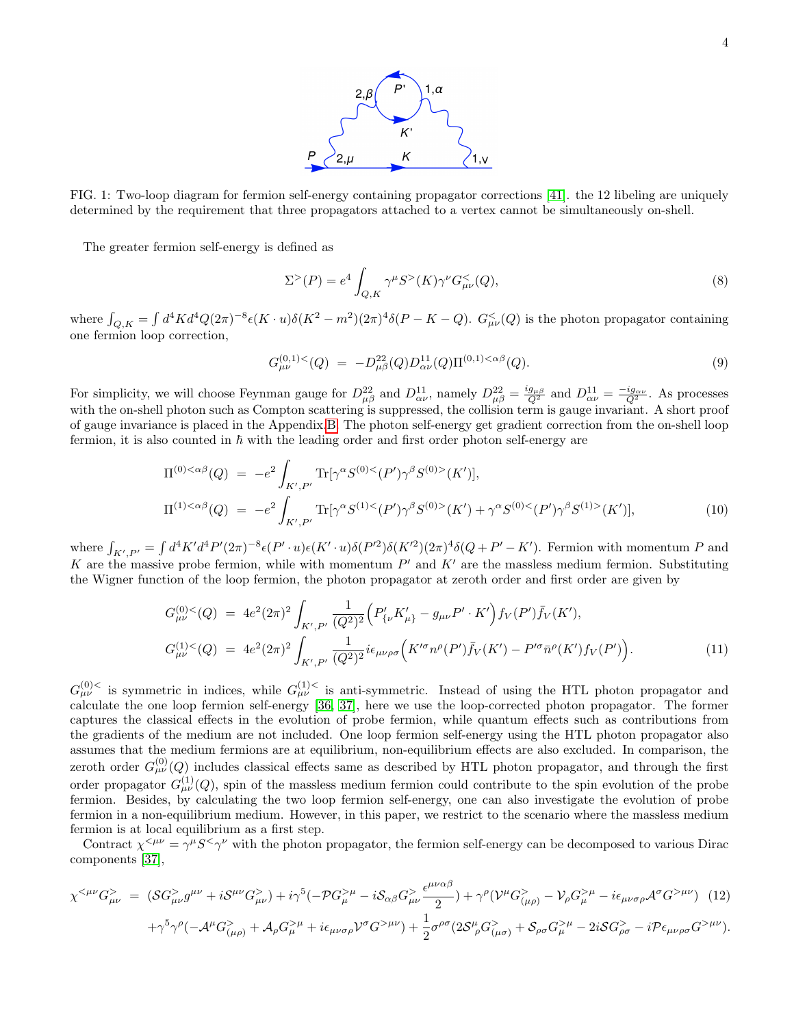

FIG. 1: Two-loop diagram for fermion self-energy containing propagator corrections [\[41\]](#page-19-9). the 12 libeling are uniquely determined by the requirement that three propagators attached to a vertex cannot be simultaneously on-shell.

The greater fermion self-energy is defined as

$$
\Sigma^>(P) = e^4 \int_{Q,K} \gamma^{\mu} S^>(K) \gamma^{\nu} G^<_{\mu\nu}(Q), \tag{8}
$$

where  $\int_{Q,K} = \int d^4K d^4Q(2\pi)^{-8} \epsilon(K \cdot u) \delta(K^2 - m^2)(2\pi)^4 \delta(P - K - Q)$ .  $G_{\mu\nu}^<(Q)$  is the photon propagator containing one fermion loop correction,

$$
G_{\mu\nu}^{(0,1)<}(Q) = -D_{\mu\beta}^{22}(Q)D_{\alpha\nu}^{11}(Q)\Pi^{(0,1)<\alpha\beta}(Q). \tag{9}
$$

For simplicity, we will choose Feynman gauge for  $D_{\mu\beta}^{22}$  and  $D_{\alpha\nu}^{11}$ , namely  $D_{\mu\beta}^{22} = \frac{ig_{\mu\beta}}{Q^2}$  and  $D_{\alpha\nu}^{11} = \frac{-ig_{\alpha\nu}}{Q^2}$ . As processes with the on-shell photon such as Compton scattering is suppressed, the collision term is gauge invariant. A short proof of gauge invariance is placed in the Appendix[.B.](#page-17-0) The photon self-energy get gradient correction from the on-shell loop fermion, it is also counted in  $\hbar$  with the leading order and first order photon self-energy are

$$
\Pi^{(0) < \alpha\beta}(Q) = -e^2 \int_{K',P'} \text{Tr}[\gamma^{\alpha} S^{(0) < (P')\gamma^{\beta} S^{(0) >}(K')}],
$$
  
\n
$$
\Pi^{(1) < \alpha\beta}(Q) = -e^2 \int_{K',P'} \text{Tr}[\gamma^{\alpha} S^{(1) < (P')\gamma^{\beta} S^{(0) >}(K') + \gamma^{\alpha} S^{(0) < (P')\gamma^{\beta} S^{(1) >}(K')}],
$$
\n(10)

where  $\int_{K',P'} = \int d^4 K' d^4 P'(2\pi)^{-8} \epsilon(P' \cdot u) \epsilon(K' \cdot u) \delta(P'^2) \delta(K'^2) (2\pi)^4 \delta(Q + P' - K')$ . Fermion with momentum P and K are the massive probe fermion, while with momentum  $P'$  and  $K'$  are the massless medium fermion. Substituting the Wigner function of the loop fermion, the photon propagator at zeroth order and first order are given by

<span id="page-3-0"></span>
$$
G_{\mu\nu}^{(0)}{}^{<}(Q) = 4e^2(2\pi)^2 \int_{K',P'} \frac{1}{(Q^2)^2} \Big( P'_{\{\nu} K'_{\mu\}} - g_{\mu\nu} P' \cdot K' \Big) f_V(P') \bar{f}_V(K'),
$$
  
\n
$$
G_{\mu\nu}^{(1)}{}^{<}(Q) = 4e^2(2\pi)^2 \int_{K',P'} \frac{1}{(Q^2)^2} i\epsilon_{\mu\nu\rho\sigma} \Big( K'^{\sigma} n^{\rho}(P') \bar{f}_V(K') - P'^{\sigma} \bar{n}^{\rho}(K') f_V(P') \Big). \tag{11}
$$

 $G_{\mu\nu}^{(0) <}$  is symmetric in indices, while  $G_{\mu\nu}^{(1) <}$  is anti-symmetric. Instead of using the HTL photon propagator and calculate the one loop fermion self-energy [\[36,](#page-18-21) [37\]](#page-18-20), here we use the loop-corrected photon propagator. The former captures the classical effects in the evolution of probe fermion, while quantum effects such as contributions from the gradients of the medium are not included. One loop fermion self-energy using the HTL photon propagator also assumes that the medium fermions are at equilibrium, non-equilibrium effects are also excluded. In comparison, the zeroth order  $G_{\mu\nu}^{(0)}(Q)$  includes classical effects same as described by HTL photon propagator, and through the first order propagator  $G_{\mu\nu}^{(1)}(Q)$ , spin of the massless medium fermion could contribute to the spin evolution of the probe fermion. Besides, by calculating the two loop fermion self-energy, one can also investigate the evolution of probe fermion in a non-equilibrium medium. However, in this paper, we restrict to the scenario where the massless medium fermion is at local equilibrium as a first step.

Contract  $\chi^{&\mu\nu} = \gamma^{\mu} S^&\gamma^{\nu}$  with the photon propagator, the fermion self-energy can be decomposed to various Dirac components [\[37\]](#page-18-20),

$$
\chi^{<\mu\nu}G_{\mu\nu}^{>} = (\mathcal{S}G_{\mu\nu}^{>}g^{\mu\nu} + i\mathcal{S}^{\mu\nu}G_{\mu\nu}^{>}) + i\gamma^{5}(-\mathcal{P}G_{\mu}^{>}\mu - i\mathcal{S}_{\alpha\beta}G_{\mu\nu}^{>}\frac{\epsilon^{\mu\nu\alpha\beta}}{2}) + \gamma^{\rho}(\mathcal{V}^{\mu}G_{(\mu\rho)}^{>} - \mathcal{V}_{\rho}G_{\mu}^{>}\mu - i\epsilon_{\mu\nu\sigma\rho}\mathcal{A}^{\sigma}G^{> \mu\nu})
$$
(12)

$$
+\gamma^5\gamma^\rho(-\mathcal{A}^\mu G^>_{(\mu\rho)}+\mathcal{A}_\rho G^>_\mu{}^\mu+i\epsilon_{\mu\nu\sigma\rho}\mathcal{V}^\sigma G^{> \mu\nu})+\frac{1}{2}\sigma^{\rho\sigma}(2\mathcal{S}^\mu_{\ \rho}G^>_{(\mu\sigma)}+\mathcal{S}_{\rho\sigma}G^>_\mu{}^\mu-2i\mathcal{S}G^>_{\rho\sigma}-i\mathcal{P}\epsilon_{\mu\nu\rho\sigma}G^{> \mu\nu}).
$$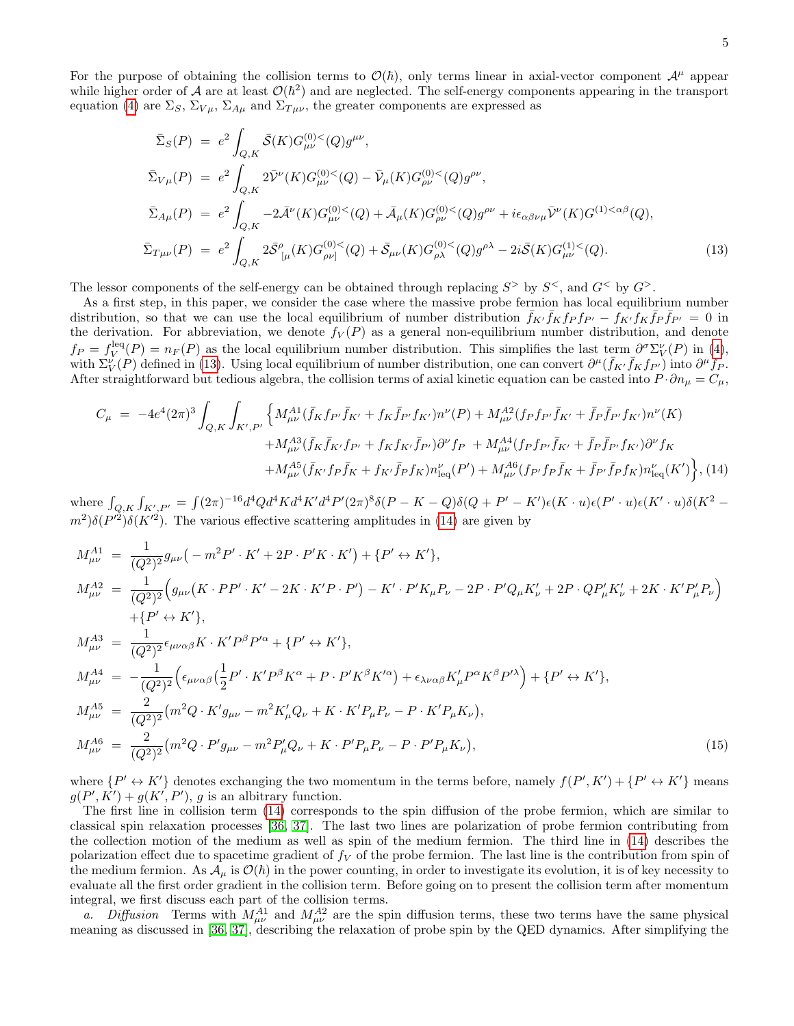For the purpose of obtaining the collision terms to  $\mathcal{O}(\hbar)$ , only terms linear in axial-vector component  $\mathcal{A}^{\mu}$  appear while higher order of A are at least  $\mathcal{O}(\hbar^2)$  and are neglected. The self-energy components appearing in the transport equation [\(4\)](#page-2-1) are  $\Sigma_S$ ,  $\Sigma_{V\mu}$ ,  $\Sigma_{A\mu}$  and  $\Sigma_{T\mu\nu}$ , the greater components are expressed as

<span id="page-4-0"></span>
$$
\begin{split}\n\bar{\Sigma}_{S}(P) &= e^{2} \int_{Q,K} \bar{\mathcal{S}}(K) G_{\mu\nu}^{(0)}{}^{<}(Q) g^{\mu\nu}, \\
\bar{\Sigma}_{V\mu}(P) &= e^{2} \int_{Q,K} 2\bar{\mathcal{V}}^{\nu}(K) G_{\mu\nu}^{(0)}{}^{<}(Q) - \bar{\mathcal{V}}_{\mu}(K) G_{\rho\nu}^{(0)}{}^{<}(Q) g^{\rho\nu}, \\
\bar{\Sigma}_{A\mu}(P) &= e^{2} \int_{Q,K} -2\bar{\mathcal{A}}^{\nu}(K) G_{\mu\nu}^{(0)}{}^{<}(Q) + \bar{\mathcal{A}}_{\mu}(K) G_{\rho\nu}^{(0)}{}^{<}(Q) g^{\rho\nu} + i\epsilon_{\alpha\beta\nu\mu} \bar{\mathcal{V}}^{\nu}(K) G^{(1) < \alpha\beta}(Q), \\
\bar{\Sigma}_{T\mu\nu}(P) &= e^{2} \int_{Q,K} 2\bar{\mathcal{S}}^{\rho}_{\phantom{\rho}[\mu]}(K) G_{\rho\nu]}^{(0) <}(Q) + \bar{\mathcal{S}}_{\mu\nu}(K) G_{\rho\lambda}^{(0) <}(Q) g^{\rho\lambda} - 2i\bar{\mathcal{S}}(K) G_{\mu\nu}^{(1) <}(Q).\n\end{split} \tag{13}
$$

The lessor components of the self-energy can be obtained through replacing  $S^>$  by  $S^<$ , and  $G^<$  by  $G^>$ .

As a first step, in this paper, we consider the case where the massive probe fermion has local equilibrium number distribution, so that we can use the local equilibrium of number distribution  $\bar{f}_{K'}\bar{f}_{K}f_{P}f_{P'} - f_{K'}f_{K}\bar{f}_{P}\bar{f}_{P'} = 0$  in the derivation. For abbreviation, we denote  $f_V(P)$  as a general non-equilibrium number distribution, and denote  $f_P = f_V^{\text{leq}}(P) = n_F(P)$  as the local equilibrium number distribution. This simplifies the last term  $\partial^{\sigma} \Sigma_V^{\nu}(P)$  in [\(4\)](#page-2-1), with  $\Sigma_V^{\nu}(P)$  defined in [\(13\)](#page-4-0). Using local equilibrium of number distribution, one can convert  $\partial^{\mu}(\bar{f}_{K'}\bar{f}_{K}f_{P'})$  into  $\partial^{\mu}f_{P}$ . After straightforward but tedious algebra, the collision terms of axial kinetic equation can be casted into  $P \cdot \partial n_\mu = C_\mu$ ,

<span id="page-4-1"></span>
$$
C_{\mu} = -4e^{4}(2\pi)^{3} \int_{Q,K} \int_{K',P'} \left\{ M_{\mu\nu}^{A1}(\bar{f}_{K}f_{P'}\bar{f}_{K'} + f_{K}\bar{f}_{P'}f_{K'})n^{\nu}(P) + M_{\mu\nu}^{A2}(f_{P}f_{P'}\bar{f}_{K'} + \bar{f}_{P}\bar{f}_{P'}f_{K'})n^{\nu}(K) \right. \\ \left. + M_{\mu\nu}^{A3}(\bar{f}_{K}\bar{f}_{K'}f_{P'} + f_{K}f_{K'}\bar{f}_{P'})\partial^{\nu}f_{P} + M_{\mu\nu}^{A4}(f_{P}f_{P'}\bar{f}_{K'} + \bar{f}_{P}\bar{f}_{P'}f_{K'})\partial^{\nu}f_{K} \right. \\ \left. + M_{\mu\nu}^{A5}(\bar{f}_{K'}f_{P}\bar{f}_{K} + f_{K'}\bar{f}_{P}f_{K})n_{\text{leq}}^{\nu}(P') + M_{\mu\nu}^{A6}(f_{P'}f_{P}\bar{f}_{K} + \bar{f}_{P'}\bar{f}_{P}f_{K})n_{\text{leq}}^{\nu}(K') \right\}, (14)
$$

where  $\int_{Q,K} \int_{K',P'} = \int (2\pi)^{-16} d^4Q d^4K d^4K' d^4P'(2\pi)^8 \delta(P - K - Q) \delta(Q + P' - K') \epsilon(K \cdot u) \epsilon(P' \cdot u) \epsilon(K' \cdot u) \delta(K^2 - Q)$  $(m^2)\delta(P'^2)\delta(K'^2)$ . The various effective scattering amplitudes in [\(14\)](#page-4-1) are given by

<span id="page-4-2"></span>
$$
M_{\mu\nu}^{A1} = \frac{1}{(Q^{2})^{2}} g_{\mu\nu} \left( -m^{2}P' \cdot K' + 2P \cdot P'K \cdot K' \right) + \{P' \leftrightarrow K'\},
$$
  
\n
$$
M_{\mu\nu}^{A2} = \frac{1}{(Q^{2})^{2}} \left( g_{\mu\nu} \left( K \cdot PP' \cdot K' - 2K \cdot K'P \cdot P' \right) - K' \cdot P' K_{\mu} P_{\nu} - 2P \cdot P' Q_{\mu} K'_{\nu} + 2P \cdot Q P'_{\mu} K'_{\nu} + 2K \cdot K' P'_{\mu} P_{\nu} \right)
$$
\n
$$
+ \{P' \leftrightarrow K'\},
$$
  
\n
$$
M_{\mu\nu}^{A3} = \frac{1}{(Q^{2})^{2}} \epsilon_{\mu\nu\alpha\beta} K \cdot K' P^{\beta} P'^{\alpha} + \{P' \leftrightarrow K'\},
$$
  
\n
$$
M_{\mu\nu}^{A4} = -\frac{1}{(Q^{2})^{2}} \left( \epsilon_{\mu\nu\alpha\beta} \left( \frac{1}{2} P' \cdot K' P^{\beta} K^{\alpha} + P \cdot P' K^{\beta} K'^{\alpha} \right) + \epsilon_{\lambda\nu\alpha\beta} K'_{\mu} P^{\alpha} K^{\beta} P'^{\lambda} \right) + \{P' \leftrightarrow K'\},
$$
  
\n
$$
M_{\mu\nu}^{A5} = \frac{2}{(Q^{2})^{2}} \left( m^{2} Q \cdot K' g_{\mu\nu} - m^{2} K'_{\mu} Q_{\nu} + K \cdot K' P_{\mu} P_{\nu} - P \cdot K' P_{\mu} K_{\nu} \right),
$$
  
\n
$$
M_{\mu\nu}^{A6} = \frac{2}{(Q^{2})^{2}} \left( m^{2} Q \cdot P' g_{\mu\nu} - m^{2} P'_{\mu} Q_{\nu} + K \cdot P' P_{\mu} P_{\nu} - P \cdot P' P_{\mu} K_{\nu} \right),
$$
\n(15)

where  $\{P' \leftrightarrow K'\}$  denotes exchanging the two momentum in the terms before, namely  $f(P', K') + \{P' \leftrightarrow K'\}$  means  $g(P', K') + g(K', P'), g$  is an albitrary function.

The first line in collision term [\(14\)](#page-4-1) corresponds to the spin diffusion of the probe fermion, which are similar to classical spin relaxation processes [\[36,](#page-18-21) [37\]](#page-18-20). The last two lines are polarization of probe fermion contributing from the collection motion of the medium as well as spin of the medium fermion. The third line in [\(14\)](#page-4-1) describes the polarization effect due to spacetime gradient of  $f_V$  of the probe fermion. The last line is the contribution from spin of the medium fermion. As  $\mathcal{A}_{\mu}$  is  $\mathcal{O}(\hbar)$  in the power counting, in order to investigate its evolution, it is of key necessity to evaluate all the first order gradient in the collision term. Before going on to present the collision term after momentum integral, we first discuss each part of the collision terms.

a. Diffusion Terms with  $M_{\mu\nu}^{A1}$  and  $M_{\mu\nu}^{A2}$  are the spin diffusion terms, these two terms have the same physical meaning as discussed in [\[36,](#page-18-21) [37\]](#page-18-20), describing the relaxation of probe spin by the QED dynamics. After simplifying the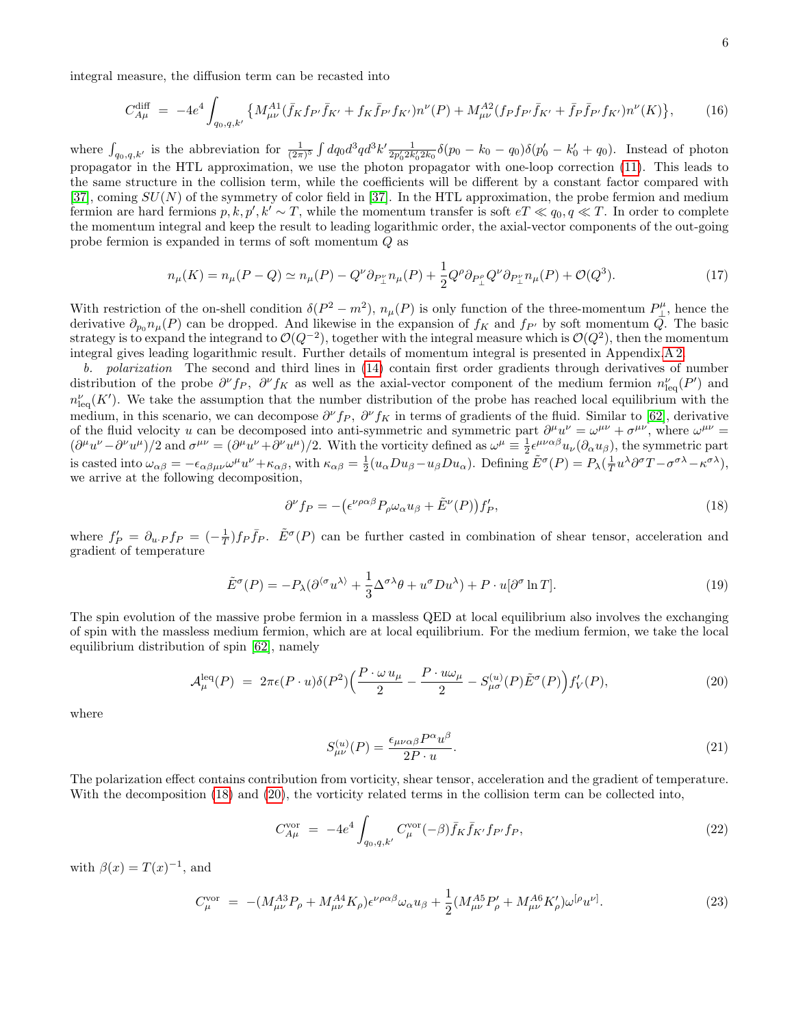integral measure, the diffusion term can be recasted into

<span id="page-5-3"></span>
$$
C_{A\mu}^{\text{diff}} = -4e^4 \int_{q_0, q, k'} \left\{ M_{\mu\nu}^{A1} (\bar{f}_K f_{P'} \bar{f}_{K'} + f_K \bar{f}_{P'} f_{K'}) n^{\nu}(P) + M_{\mu\nu}^{A2} (f_P f_{P'} \bar{f}_{K'} + \bar{f}_P \bar{f}_{P'} f_{K'}) n^{\nu}(K) \right\},\tag{16}
$$

where  $\int_{q_0,q,k'}$  is the abbreviation for  $\frac{1}{(2\pi)^5} \int dq_0 d^3q d^3k' \frac{1}{2p'_0 2k'_0 2k_0} \delta(p_0 - k_0 - q_0) \delta(p'_0 - k'_0 + q_0)$ . Instead of photon propagator in the HTL approximation, we use the photon propagator with one-loop correction [\(11\)](#page-3-0). This leads to the same structure in the collision term, while the coefficients will be different by a constant factor compared with [\[37\]](#page-18-20), coming  $SU(N)$  of the symmetry of color field in [37]. In the HTL approximation, the probe fermion and medium fermion are hard fermions  $p, k, p', k' \sim T$ , while the momentum transfer is soft  $eT \ll q_0, q \ll T$ . In order to complete the momentum integral and keep the result to leading logarithmic order, the axial-vector components of the out-going probe fermion is expanded in terms of soft momentum Q as

$$
n_{\mu}(K) = n_{\mu}(P - Q) \simeq n_{\mu}(P) - Q^{\nu}\partial_{P_{\perp}^{\nu}}n_{\mu}(P) + \frac{1}{2}Q^{\rho}\partial_{P_{\perp}^{\rho}}Q^{\nu}\partial_{P_{\perp}^{\nu}}n_{\mu}(P) + \mathcal{O}(Q^3). \tag{17}
$$

With restriction of the on-shell condition  $\delta(P^2 - m^2)$ ,  $n_\mu(P)$  is only function of the three-momentum  $P_\perp^{\mu}$ , hence the derivative  $\partial_{p_0} n_\mu(P)$  can be dropped. And likewise in the expansion of  $f_K$  and  $f_{P'}$  by soft momentum  $\overline{Q}$ . The basic strategy is to expand the integrand to  $\mathcal{O}(Q^{-2})$ , together with the integral measure which is  $\mathcal{O}(Q^2)$ , then the momentum integral gives leading logarithmic result. Further details of momentum integral is presented in Appendix[.A 2.](#page-14-0)

b. polarization The second and third lines in [\(14\)](#page-4-1) contain first order gradients through derivatives of number distribution of the probe  $\partial^{\nu} f_P$ ,  $\partial^{\nu} f_K$  as well as the axial-vector component of the medium fermion  $n_{\text{leq}}^{\nu}(P')$  and  $n_{\text{leq}}^{\nu}(K')$ . We take the assumption that the number distribution of the probe has reached local equilibrium with the medium, in this scenario, we can decompose  $\partial^{\nu}f_P$ ,  $\partial^{\nu}f_K$  in terms of gradients of the fluid. Similar to [\[62\]](#page-19-10), derivative of the fluid velocity u can be decomposed into anti-symmetric and symmetric part  $\partial^{\mu}u^{\nu} = \omega^{\mu\nu} + \sigma^{\mu\nu}$ , where  $\omega^{\mu\nu} =$  $(\partial^{\mu}u^{\nu}-\partial^{\nu}u^{\mu})/2$  and  $\sigma^{\mu\nu}=(\partial^{\mu}u^{\nu}+\partial^{\nu}u^{\mu})/2$ . With the vorticity defined as  $\omega^{\mu}\equiv \frac{1}{2}\epsilon^{\mu\nu\alpha\beta}u_{\nu}(\partial_{\alpha}u_{\beta})$ , the symmetric part is casted into  $\omega_{\alpha\beta} = -\epsilon_{\alpha\beta\mu\nu}\omega^{\mu}u^{\nu} + \kappa_{\alpha\beta}$ , with  $\kappa_{\alpha\beta} = \frac{1}{2}(u_{\alpha}Du_{\beta} - u_{\beta}Du_{\alpha})$ . Defining  $\tilde{E}^{\sigma}(P) = P_{\lambda}(\frac{1}{T}u^{\lambda}\partial^{\sigma}T - \sigma^{\sigma\lambda} - \kappa^{\sigma\lambda})$ , we arrive at the following decomposition,

<span id="page-5-0"></span>
$$
\partial^{\nu} f_P = -\left(\epsilon^{\nu\rho\alpha\beta} P_{\rho}\omega_{\alpha}u_{\beta} + \tilde{E}^{\nu}(P)\right)f'_P,\tag{18}
$$

where  $f'_P = \partial_{u \cdot P} f_P = (-\frac{1}{T}) f_P \overline{f}_P$ .  $\tilde{E}^{\sigma}(P)$  can be further casted in combination of shear tensor, acceleration and gradient of temperature

$$
\tilde{E}^{\sigma}(P) = -P_{\lambda}(\partial^{\langle \sigma} u^{\lambda \rangle} + \frac{1}{3} \Delta^{\sigma \lambda} \theta + u^{\sigma} D u^{\lambda}) + P \cdot u[\partial^{\sigma} \ln T]. \tag{19}
$$

The spin evolution of the massive probe fermion in a massless QED at local equilibrium also involves the exchanging of spin with the massless medium fermion, which are at local equilibrium. For the medium fermion, we take the local equilibrium distribution of spin [\[62\]](#page-19-10), namely

<span id="page-5-1"></span>
$$
\mathcal{A}_{\mu}^{\text{leq}}(P) = 2\pi\epsilon(P\cdot u)\delta(P^2)\left(\frac{P\cdot\omega u_{\mu}}{2} - \frac{P\cdot u\omega_{\mu}}{2} - S_{\mu\sigma}^{(u)}(P)\tilde{E}^{\sigma}(P)\right)f'_{V}(P),\tag{20}
$$

where

$$
S_{\mu\nu}^{(u)}(P) = \frac{\epsilon_{\mu\nu\alpha\beta} P^{\alpha} u^{\beta}}{2P \cdot u}.
$$
\n(21)

The polarization effect contains contribution from vorticity, shear tensor, acceleration and the gradient of temperature. With the decomposition [\(18\)](#page-5-0) and [\(20\)](#page-5-1), the vorticity related terms in the collision term can be collected into,

<span id="page-5-2"></span>
$$
C_{A\mu}^{\text{vor}} = -4e^4 \int_{q_0, q, k'} C_{\mu}^{\text{vor}}(-\beta) \bar{f}_K \bar{f}_{K'} f_{P'} f_P,
$$
\n(22)

with  $\beta(x) = T(x)^{-1}$ , and

$$
C_{\mu}^{\text{vor}} = -(M_{\mu\nu}^{A3} P_{\rho} + M_{\mu\nu}^{A4} K_{\rho}) \epsilon^{\nu\rho\alpha\beta} \omega_{\alpha} u_{\beta} + \frac{1}{2} (M_{\mu\nu}^{A5} P'_{\rho} + M_{\mu\nu}^{A6} K'_{\rho}) \omega^{[\rho} u^{\nu]}.
$$
 (23)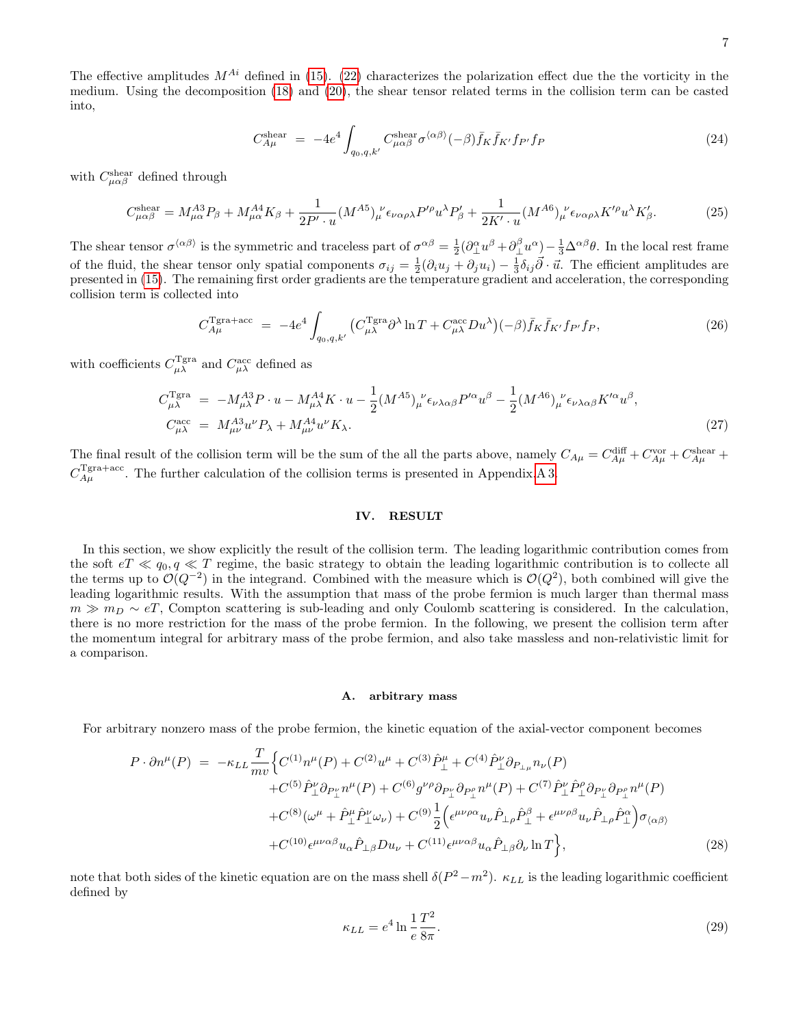The effective amplitudes  $M^{Ai}$  defined in [\(15\)](#page-4-2). [\(22\)](#page-5-2) characterizes the polarization effect due the the vorticity in the medium. Using the decomposition [\(18\)](#page-5-0) and [\(20\)](#page-5-1), the shear tensor related terms in the collision term can be casted into,

<span id="page-6-2"></span>
$$
C_{A\mu}^{\text{shear}} = -4e^4 \int_{q_0, q, k'} C_{\mu\alpha\beta}^{\text{shear}} \sigma^{\langle\alpha\beta\rangle}(-\beta) \bar{f}_K \bar{f}_{K'} f_{P'} f_P \tag{24}
$$

with  $C_{\mu\alpha\beta}^{\text{shear}}$  defined through

<span id="page-6-4"></span>
$$
C_{\mu\alpha\beta}^{\text{shear}} = M_{\mu\alpha}^{A3} P_{\beta} + M_{\mu\alpha}^{A4} K_{\beta} + \frac{1}{2P' \cdot u} (M^{A5})_{\mu}^{\nu} \epsilon_{\nu\alpha\rho\lambda} P'^{\rho} u^{\lambda} P'_{\beta} + \frac{1}{2K' \cdot u} (M^{A6})_{\mu}^{\nu} \epsilon_{\nu\alpha\rho\lambda} K'^{\rho} u^{\lambda} K'_{\beta}.
$$
 (25)

The shear tensor  $\sigma^{\langle \alpha \beta \rangle}$  is the symmetric and traceless part of  $\sigma^{\alpha\beta} = \frac{1}{2} (\partial_{\perp}^{\alpha} u^{\beta} + \partial_{\perp}^{\beta} u^{\alpha}) - \frac{1}{3} \Delta^{\alpha\beta} \theta$ . In the local rest frame of the fluid, the shear tensor only spatial components  $\sigma_{ij} = \frac{1}{2}(\partial_i u_j + \partial_j u_i) - \frac{1}{3}\delta_{ij}\vec{\partial}\cdot\vec{u}$ . The efficient amplitudes are presented in [\(15\)](#page-4-2). The remaining first order gradients are the temperature gradient and acceleration, the corresponding collision term is collected into

<span id="page-6-3"></span>
$$
C_{A\mu}^{\text{Tgra+acc}} = -4e^4 \int_{q_0, q, k'} \left( C_{\mu\lambda}^{\text{Tgra}} \partial^{\lambda} \ln T + C_{\mu\lambda}^{\text{acc}} D u^{\lambda} \right) (-\beta) \bar{f}_K \bar{f}_{K'} f_{P'} f_P, \tag{26}
$$

with coefficients  $C_{\mu\lambda}^{\text{Tgra}}$  and  $C_{\mu\lambda}^{\text{acc}}$  defined as

<span id="page-6-5"></span>
$$
C_{\mu\lambda}^{\text{Tgra}} = -M_{\mu\lambda}^{A3} P \cdot u - M_{\mu\lambda}^{A4} K \cdot u - \frac{1}{2} (M^{A5})_{\mu}^{\nu} \epsilon_{\nu\lambda\alpha\beta} P^{\prime\alpha} u^{\beta} - \frac{1}{2} (M^{A6})_{\mu}^{\nu} \epsilon_{\nu\lambda\alpha\beta} K^{\prime\alpha} u^{\beta},
$$
  
\n
$$
C_{\mu\lambda}^{\text{acc}} = M_{\mu\nu}^{A3} u^{\nu} P_{\lambda} + M_{\mu\nu}^{A4} u^{\nu} K_{\lambda}.
$$
\n(27)

The final result of the collision term will be the sum of the all the parts above, namely  $C_{A\mu} = C_{A\mu}^{\text{diff}} + C_{A\mu}^{\text{vor}} + C_{A\mu}^{\text{shear}} + C_{A\mu}^{\text{inter}}$  $C_{A\mu}^{\text{Tgra}+\text{acc}}$ . The further calculation of the collision terms is presented in Appendix[.A 3.](#page-15-0)

# <span id="page-6-0"></span>IV. RESULT

In this section, we show explicitly the result of the collision term. The leading logarithmic contribution comes from the soft  $eT \ll q_0, q \ll T$  regime, the basic strategy to obtain the leading logarithmic contribution is to collecte all the terms up to  $\mathcal{O}(Q^{-2})$  in the integrand. Combined with the measure which is  $\mathcal{O}(Q^2)$ , both combined will give the leading logarithmic results. With the assumption that mass of the probe fermion is much larger than thermal mass  $m \gg m_D \sim eT$ , Compton scattering is sub-leading and only Coulomb scattering is considered. In the calculation, there is no more restriction for the mass of the probe fermion. In the following, we present the collision term after the momentum integral for arbitrary mass of the probe fermion, and also take massless and non-relativistic limit for a comparison.

#### A. arbitrary mass

For arbitrary nonzero mass of the probe fermion, the kinetic equation of the axial-vector component becomes

<span id="page-6-1"></span>
$$
P \cdot \partial n^{\mu}(P) = -\kappa_{LL} \frac{T}{mv} \Big\{ C^{(1)} n^{\mu}(P) + C^{(2)} u^{\mu} + C^{(3)} \hat{P}_{\perp}^{\mu} + C^{(4)} \hat{P}_{\perp}^{\nu} \partial_{P_{\perp \mu}} n_{\nu}(P) + C^{(5)} \hat{P}_{\perp}^{\nu} \partial_{P_{\perp}^{\nu}} n^{\mu}(P) + C^{(6)} g^{\nu \rho} \partial_{P_{\perp}^{\nu}} \partial_{P_{\perp}^{\rho}} n^{\mu}(P) + C^{(7)} \hat{P}_{\perp}^{\nu} \hat{P}_{\perp}^{\rho} \partial_{P_{\perp}^{\nu}} n^{\mu}(P) + C^{(8)} (\omega^{\mu} + \hat{P}_{\perp}^{\mu} \hat{P}_{\perp}^{\nu} \omega_{\nu}) + C^{(9)} \frac{1}{2} \Big( \epsilon^{\mu \nu \rho \alpha} u_{\nu} \hat{P}_{\perp \rho} \hat{P}_{\perp}^{\beta} + \epsilon^{\mu \nu \rho \beta} u_{\nu} \hat{P}_{\perp \rho} \hat{P}_{\perp}^{\alpha} \Big) \sigma_{\langle \alpha \beta \rangle} + C^{(10)} \epsilon^{\mu \nu \alpha \beta} u_{\alpha} \hat{P}_{\perp \beta} D u_{\nu} + C^{(11)} \epsilon^{\mu \nu \alpha \beta} u_{\alpha} \hat{P}_{\perp \beta} \partial_{\nu} \ln T \Big\}, \tag{28}
$$

note that both sides of the kinetic equation are on the mass shell  $\delta(P^2 - m^2)$ .  $\kappa_{LL}$  is the leading logarithmic coefficient defined by

$$
\kappa_{LL} = e^4 \ln \frac{1}{e} \frac{T^2}{8\pi}.
$$
\n(29)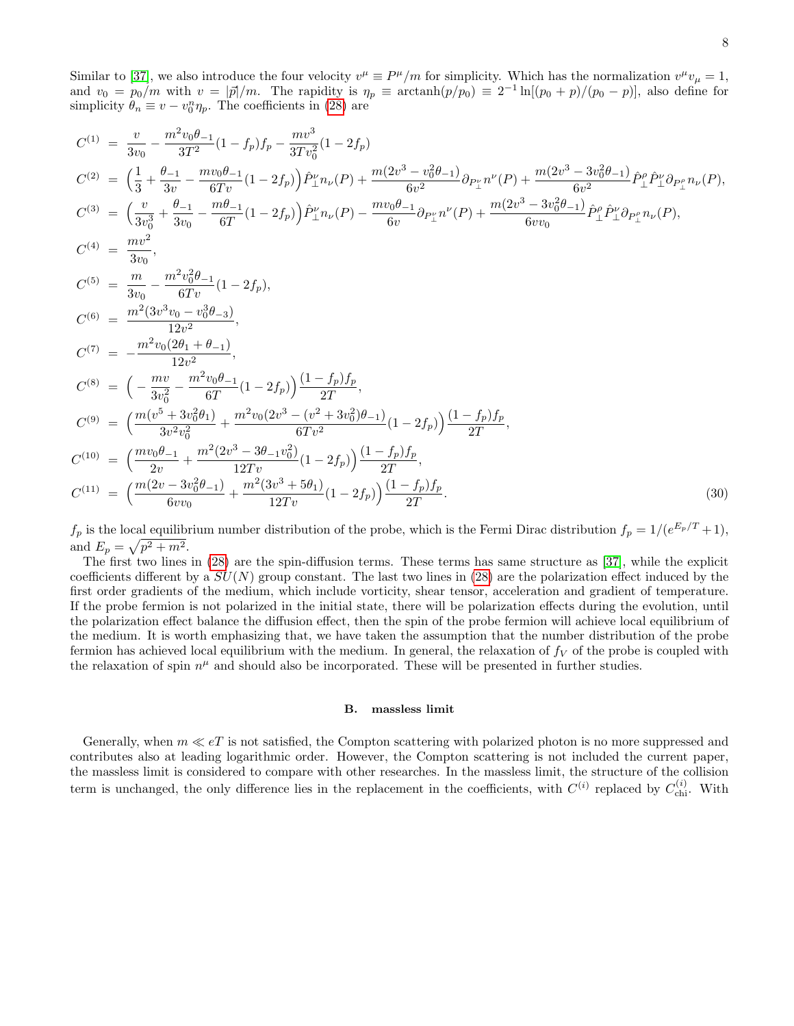Similar to [\[37\]](#page-18-20), we also introduce the four velocity  $v^{\mu} \equiv P^{\mu}/m$  for simplicity. Which has the normalization  $v^{\mu}v_{\mu} = 1$ , and  $v_0 = p_0/m$  with  $v = |\vec{p}|/m$ . The rapidity is  $\eta_p \equiv \arctanh(p/p_0) \equiv 2^{-1} \ln[(p_0 + p)/(p_0 - p)]$ , also define for simplicity  $\theta_n \equiv v - v_0^n \eta_p$ . The coefficients in [\(28\)](#page-6-1) are

<span id="page-7-0"></span>
$$
C^{(1)} = \frac{v}{3v_0} - \frac{m^2v_0\theta_{-1}}{3T^2}(1-f_p)f_p - \frac{mv^3}{3Tv_0^2}(1-2f_p)
$$
  
\n
$$
C^{(2)} = \left(\frac{1}{3} + \frac{\theta_{-1}}{3v} - \frac{mv_0\theta_{-1}}{6Tv}(1-2f_p)\right)\hat{P}_\perp^{\nu}n_{\nu}(P) + \frac{m(2v^3 - v_0^2\theta_{-1})}{6v^2}\partial_{P_\perp^{\nu}}n^{\nu}(P) + \frac{m(2v^3 - 3v_0^2\theta_{-1})}{6v^2}\hat{P}_\perp^{\rho}\hat{P}_\perp^{\nu}\partial_{P_\perp^{\rho}}n_{\nu}(P),
$$
  
\n
$$
C^{(3)} = \left(\frac{v}{3v_0^3} + \frac{\theta_{-1}}{3v_0} - \frac{m\theta_{-1}}{6T}(1-2f_p)\right)\hat{P}_\perp^{\nu}n_{\nu}(P) - \frac{mv_0\theta_{-1}}{6v}\partial_{P_\perp^{\nu}}n^{\nu}(P) + \frac{m(2v^3 - 3v_0^2\theta_{-1})}{6vv_0}\hat{P}_\perp^{\rho}\hat{P}_\perp^{\nu}\partial_{P_\perp^{\rho}}n_{\nu}(P),
$$

$$
C^{(4)} = \frac{mv^2}{3v_0},
$$
  
\n
$$
C^{(5)} = \frac{m}{3v_0} - \frac{m^2v_0^2\theta_{-1}}{6Tv}(1-2f_p),
$$
  
\n
$$
C^{(6)} = \frac{m^2(3v^3v_0 - v_0^3\theta_{-3})}{12v^2},
$$
  
\n
$$
C^{(7)} = -\frac{m^2v_0(2\theta_1 + \theta_{-1})}{12v^2},
$$
  
\n
$$
C^{(8)} = \left(-\frac{mv}{3v_0^2} - \frac{m^2v_0\theta_{-1}}{6T}(1-2f_p)\right)\frac{(1-f_p)f_p}{2T},
$$
  
\n
$$
C^{(9)} = \left(\frac{m(v^5 + 3v_0^2\theta_1)}{3v^2v_0^2} + \frac{m^2v_0(2v^3 - (v^2 + 3v_0^2)\theta_{-1})}{6Tv^2}(1-2f_p)\right)\frac{(1-f_p)f_p}{2T},
$$
  
\n
$$
C^{(10)} = \left(\frac{mv_0\theta_{-1}}{2v} + \frac{m^2(2v^3 - 3\theta_{-1}v_0^2)}{12Tv}(1-2f_p)\right)\frac{(1-f_p)f_p}{2T},
$$
  
\n
$$
C^{(11)} = \left(\frac{m(2v - 3v_0^2\theta_{-1})}{6vv_0} + \frac{m^2(3v^3 + 5\theta_1)}{12Tv}(1-2f_p)\right)\frac{(1-f_p)f_p}{2T}.
$$
  
\n(30)

 $f_p$  is the local equilibrium number distribution of the probe, which is the Fermi Dirac distribution  $f_p = 1/(e^{E_p/T} + 1)$ , and  $E_p = \sqrt{p^2 + m^2}$ .

 $2T$ 

.  $(30)$ 

The first two lines in [\(28\)](#page-6-1) are the spin-diffusion terms. These terms has same structure as [\[37\]](#page-18-20), while the explicit coefficients different by a  $SU(N)$  group constant. The last two lines in [\(28\)](#page-6-1) are the polarization effect induced by the first order gradients of the medium, which include vorticity, shear tensor, acceleration and gradient of temperature. If the probe fermion is not polarized in the initial state, there will be polarization effects during the evolution, until the polarization effect balance the diffusion effect, then the spin of the probe fermion will achieve local equilibrium of the medium. It is worth emphasizing that, we have taken the assumption that the number distribution of the probe fermion has achieved local equilibrium with the medium. In general, the relaxation of  $f_V$  of the probe is coupled with the relaxation of spin  $n^{\mu}$  and should also be incorporated. These will be presented in further studies.

#### B. massless limit

Generally, when  $m \ll eT$  is not satisfied, the Compton scattering with polarized photon is no more suppressed and contributes also at leading logarithmic order. However, the Compton scattering is not included the current paper, the massless limit is considered to compare with other researches. In the massless limit, the structure of the collision term is unchanged, the only difference lies in the replacement in the coefficients, with  $C^{(i)}$  replaced by  $C_{\text{chi}}^{(i)}$ . With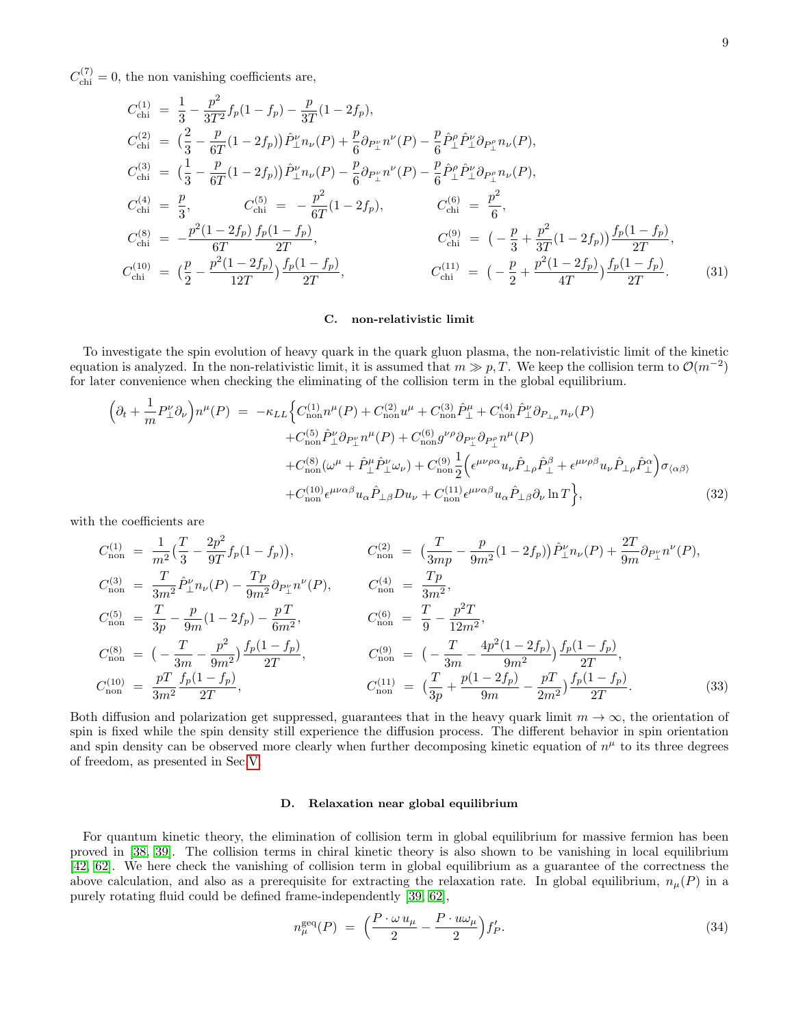$C_{\text{chi}}^{(7)} = 0$ , the non vanishing coefficients are,

$$
C_{\text{chi}}^{(1)} = \frac{1}{3} - \frac{p^2}{3T^2} f_p (1 - f_p) - \frac{p}{3T} (1 - 2f_p),
$$
  
\n
$$
C_{\text{chi}}^{(2)} = \left(\frac{2}{3} - \frac{p}{6T} (1 - 2f_p)\right) \hat{P}_{\perp}^{\nu} n_{\nu}(P) + \frac{p}{6} \partial_{P_{\perp}^{\nu}} n^{\nu}(P) - \frac{p}{6} \hat{P}_{\perp}^{\rho} \hat{P}_{\perp}^{\nu} \partial_{P_{\perp}^{\rho}} n_{\nu}(P),
$$
  
\n
$$
C_{\text{chi}}^{(3)} = \left(\frac{1}{3} - \frac{p}{6T} (1 - 2f_p)\right) \hat{P}_{\perp}^{\nu} n_{\nu}(P) - \frac{p}{6} \partial_{P_{\perp}^{\nu}} n^{\nu}(P) - \frac{p}{6} \hat{P}_{\perp}^{\rho} \hat{P}_{\perp}^{\nu} \partial_{P_{\perp}^{\rho}} n_{\nu}(P),
$$
  
\n
$$
C_{\text{chi}}^{(4)} = \frac{p}{3}, \qquad C_{\text{chi}}^{(5)} = -\frac{p^2}{6T} (1 - 2f_p), \qquad C_{\text{chi}}^{(6)} = \frac{p^2}{6},
$$
  
\n
$$
C_{\text{chi}}^{(8)} = -\frac{p^2 (1 - 2f_p) f_p (1 - f_p)}{6T}, \qquad C_{\text{chi}}^{(9)} = \left(-\frac{p}{3} + \frac{p^2}{3T} (1 - 2f_p)\right) \frac{f_p (1 - f_p)}{2T},
$$
  
\n
$$
C_{\text{chi}}^{(10)} = \left(\frac{p}{2} - \frac{p^2 (1 - 2f_p)}{12T}\right) \frac{f_p (1 - f_p)}{2T}, \qquad C_{\text{chi}}^{(11)} = \left(-\frac{p}{2} + \frac{p^2 (1 - 2f_p)}{4T}\right) \frac{f_p (1 - f_p)}{2T}.
$$
  
\n(31)

### C. non-relativistic limit

To investigate the spin evolution of heavy quark in the quark gluon plasma, the non-relativistic limit of the kinetic equation is analyzed. In the non-relativistic limit, it is assumed that  $m \gg p, T$ . We keep the collision term to  $\mathcal{O}(m^{-2})$ for later convenience when checking the eliminating of the collision term in the global equilibrium.

$$
\begin{split}\n\left(\partial_{t} + \frac{1}{m}P_{\perp}^{\nu}\partial_{\nu}\right) n^{\mu}(P) &= -\kappa_{LL} \Big\{ C_{\text{non}}^{(1)}n^{\mu}(P) + C_{\text{non}}^{(2)}u^{\mu} + C_{\text{non}}^{(3)}\hat{P}_{\perp}^{\mu} + C_{\text{non}}^{(4)}\hat{P}_{\perp}^{\nu}\partial_{P_{\perp}\mu}n_{\nu}(P) \\
&\quad + C_{\text{non}}^{(5)}\hat{P}_{\perp}^{\nu}\partial_{P_{\perp}^{\nu}}n^{\mu}(P) + C_{\text{non}}^{(6)}g^{\nu\rho}\partial_{P_{\perp}^{\nu}}n^{\mu}(P) \\
&\quad + C_{\text{non}}^{(8)}(\omega^{\mu} + \hat{P}_{\perp}^{\mu}\hat{P}_{\perp}^{\nu}\omega_{\nu}) + C_{\text{non}}^{(9)}\frac{1}{2} \Big(\epsilon^{\mu\nu\rho\alpha}u_{\nu}\hat{P}_{\perp\rho}\hat{P}_{\perp}^{\beta} + \epsilon^{\mu\nu\rho\beta}u_{\nu}\hat{P}_{\perp\rho}\hat{P}_{\perp}^{\alpha}\Big)\sigma_{\langle\alpha\beta\rangle} \\
&\quad + C_{\text{non}}^{(10)}\epsilon^{\mu\nu\alpha\beta}u_{\alpha}\hat{P}_{\perp\beta}Du_{\nu} + C_{\text{non}}^{(11)}\epsilon^{\mu\nu\alpha\beta}u_{\alpha}\hat{P}_{\perp\beta}\partial_{\nu}\ln T \Big\},\n\end{split} \tag{32}
$$

with the coefficients are

$$
C_{\text{non}}^{(1)} = \frac{1}{m^2} \left( \frac{T}{3} - \frac{2p^2}{9T} f_p (1 - f_p) \right), \qquad C_{\text{non}}^{(2)} = \left( \frac{T}{3mp} - \frac{p}{9m^2} (1 - 2f_p) \right) \hat{P}_{\perp}^{\nu} n_{\nu}(P) + \frac{2T}{9m} \partial_{P_{\perp}^{\nu}} n^{\nu}(P),
$$
  
\n
$$
C_{\text{non}}^{(3)} = \frac{T}{3m^2} \hat{P}_{\perp}^{\nu} n_{\nu}(P) - \frac{Tp}{9m^2} \partial_{P_{\perp}^{\nu}} n^{\nu}(P), \qquad C_{\text{non}}^{(4)} = \frac{Tp}{3m^2},
$$
  
\n
$$
C_{\text{non}}^{(5)} = \frac{T}{3p} - \frac{p}{9m} (1 - 2f_p) - \frac{pT}{6m^2}, \qquad C_{\text{non}}^{(6)} = \frac{T}{9} - \frac{p^2 T}{12m^2},
$$
  
\n
$$
C_{\text{non}}^{(8)} = \left( -\frac{T}{3m} - \frac{p^2}{9m^2} \right) \frac{f_p (1 - f_p)}{2T}, \qquad C_{\text{non}}^{(9)} = \left( -\frac{T}{3m} - \frac{4p^2 (1 - 2f_p)}{9m^2} \right) \frac{f_p (1 - f_p)}{2T},
$$
  
\n
$$
C_{\text{non}}^{(10)} = \frac{pT}{3m^2} \frac{f_p (1 - f_p)}{2T}, \qquad C_{\text{non}}^{(11)} = \left( \frac{T}{3p} + \frac{p (1 - 2f_p)}{9m} - \frac{pT}{2m^2} \right) \frac{f_p (1 - f_p)}{2T}.
$$
  
\n(33)

Both diffusion and polarization get suppressed, guarantees that in the heavy quark limit  $m \to \infty$ , the orientation of spin is fixed while the spin density still experience the diffusion process. The different behavior in spin orientation and spin density can be observed more clearly when further decomposing kinetic equation of  $n^{\mu}$  to its three degrees of freedom, as presented in Sec[.V.](#page-9-0)

## D. Relaxation near global equilibrium

For quantum kinetic theory, the elimination of collision term in global equilibrium for massive fermion has been proved in [\[38,](#page-18-24) [39\]](#page-18-23). The collision terms in chiral kinetic theory is also shown to be vanishing in local equilibrium [\[42,](#page-19-6) [62\]](#page-19-10). We here check the vanishing of collision term in global equilibrium as a guarantee of the correctness the above calculation, and also as a prerequisite for extracting the relaxation rate. In global equilibrium,  $n_{\mu}(P)$  in a purely rotating fluid could be defined frame-independently [\[39,](#page-18-23) [62\]](#page-19-10),

<span id="page-8-0"></span>
$$
n_{\mu}^{\text{geq}}(P) = \left(\frac{P \cdot \omega u_{\mu}}{2} - \frac{P \cdot u \omega_{\mu}}{2}\right) f'_{P}.
$$
\n(34)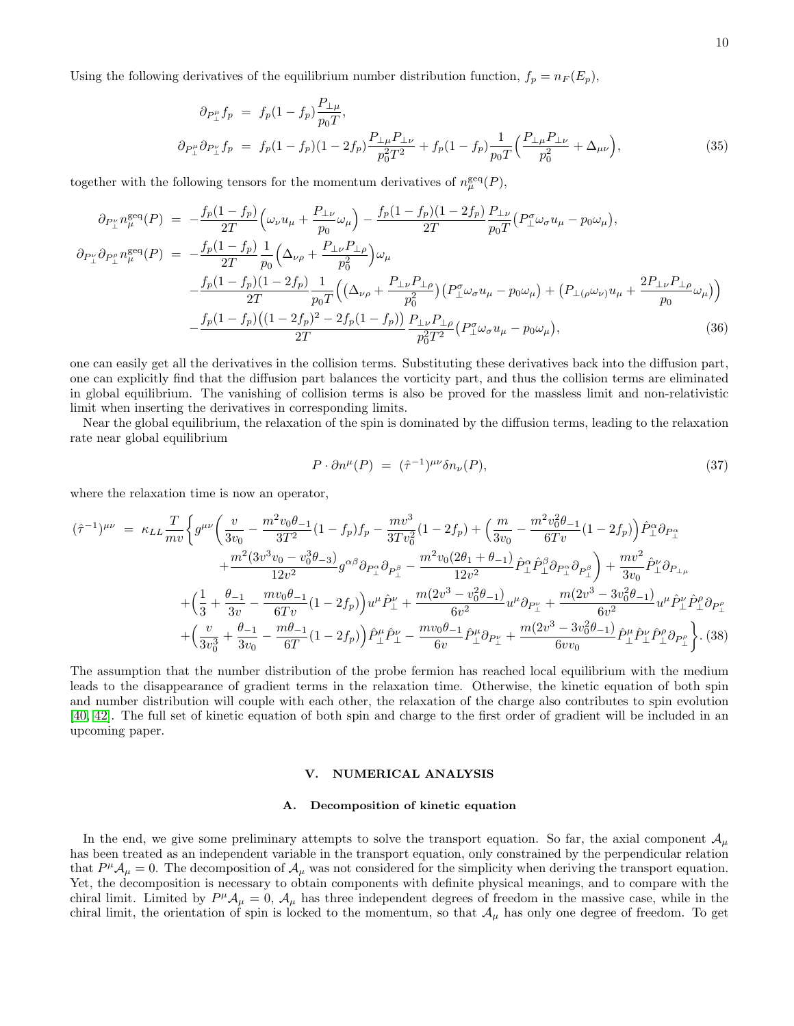Using the following derivatives of the equilibrium number distribution function,  $f_p = n_F (E_p)$ ,

$$
\partial_{P_{\perp}^{\mu}} f_p = f_p (1 - f_p) \frac{P_{\perp \mu}}{p_0 T},
$$
\n
$$
\partial_{P_{\perp}^{\mu}} \partial_{P_{\perp}^{\nu}} f_p = f_p (1 - f_p) (1 - 2f_p) \frac{P_{\perp \mu} P_{\perp \nu}}{p_0^2 T^2} + f_p (1 - f_p) \frac{1}{p_0 T} \left( \frac{P_{\perp \mu} P_{\perp \nu}}{p_0^2} + \Delta_{\mu \nu} \right),
$$
\n(35)

together with the following tensors for the momentum derivatives of  $n_{\mu}^{\text{geq}}(P)$ ,

$$
\partial_{P_{\perp}^{\nu}} n_{\mu}^{\text{seq}}(P) = -\frac{f_p(1 - f_p)}{2T} \Big( \omega_{\nu} u_{\mu} + \frac{P_{\perp \nu}}{p_0} \omega_{\mu} \Big) - \frac{f_p(1 - f_p)(1 - 2f_p)}{2T} \frac{P_{\perp \nu}}{p_0 T} \Big( P_{\perp}^{\sigma} \omega_{\sigma} u_{\mu} - p_0 \omega_{\mu} \Big),
$$
  
\n
$$
\partial_{P_{\perp}^{\nu}} \partial_{P_{\perp}^{\rho}} n_{\mu}^{\text{seq}}(P) = -\frac{f_p(1 - f_p)}{2T} \frac{1}{p_0} \Big( \Delta_{\nu \rho} + \frac{P_{\perp \nu} P_{\perp \rho}}{p_0^2} \Big) \omega_{\mu}
$$
  
\n
$$
-\frac{f_p(1 - f_p)(1 - 2f_p)}{2T} \frac{1}{p_0 T} \Big( \Big( \Delta_{\nu \rho} + \frac{P_{\perp \nu} P_{\perp \rho}}{p_0^2} \Big) \Big( P_{\perp}^{\sigma} \omega_{\sigma} u_{\mu} - p_0 \omega_{\mu} \Big) + \Big( P_{\perp (\rho} \omega_{\nu)} u_{\mu} + \frac{2P_{\perp \nu} P_{\perp \rho}}{p_0} \omega_{\mu} \Big) \Big)
$$
  
\n
$$
-\frac{f_p(1 - f_p)\Big((1 - 2f_p)^2 - 2f_p(1 - f_p)\Big)}{2T} \frac{P_{\perp \nu} P_{\perp \rho}}{p_0^2 T^2} \Big( P_{\perp}^{\sigma} \omega_{\sigma} u_{\mu} - p_0 \omega_{\mu} \Big), \tag{36}
$$

one can easily get all the derivatives in the collision terms. Substituting these derivatives back into the diffusion part, one can explicitly find that the diffusion part balances the vorticity part, and thus the collision terms are eliminated in global equilibrium. The vanishing of collision terms is also be proved for the massless limit and non-relativistic limit when inserting the derivatives in corresponding limits.

Near the global equilibrium, the relaxation of the spin is dominated by the diffusion terms, leading to the relaxation rate near global equilibrium

$$
P \cdot \partial n^{\mu}(P) = (\hat{\tau}^{-1})^{\mu\nu} \delta n_{\nu}(P), \qquad (37)
$$

where the relaxation time is now an operator,

$$
(\hat{\tau}^{-1})^{\mu\nu} = \kappa_{LL} \frac{T}{mv} \Big\{ g^{\mu\nu} \Big( \frac{v}{3v_0} - \frac{m^2 v_0 \theta_{-1}}{3T^2} (1 - f_p) f_p - \frac{mv^3}{3T v_0^2} (1 - 2f_p) + \Big( \frac{m}{3v_0} - \frac{m^2 v_0^2 \theta_{-1}}{6T v} (1 - 2f_p) \Big) \hat{P}_{\perp}^{\alpha} \partial_{P_{\perp}^{\alpha}} + \frac{m^2 (3v^3 v_0 - v_0^3 \theta_{-3})}{12v^2} g^{\alpha\beta} \partial_{P_{\perp}^{\alpha}} \partial_{P_{\perp}^{\beta}} - \frac{m^2 v_0 (2\theta_1 + \theta_{-1})}{12v^2} \hat{P}_{\perp}^{\alpha} \hat{P}_{\perp}^{\beta} \partial_{P_{\perp}^{\alpha}} \partial_{P_{\perp}^{\beta}} \Big\} + \frac{mv^2}{3v_0} \hat{P}_{\perp}^{\nu} \partial_{P_{\perp}^{\mu}} + \Big( \frac{1}{3} + \frac{\theta_{-1}}{3v} - \frac{mv_0 \theta_{-1}}{6T v} (1 - 2f_p) \Big) u^{\mu} \hat{P}_{\perp}^{\nu} + \frac{m(2v^3 - v_0^2 \theta_{-1})}{6v^2} u^{\mu} \partial_{P_{\perp}^{\nu}} + \frac{m(2v^3 - 3v_0^2 \theta_{-1})}{6v^2} u^{\mu} \hat{P}_{\perp}^{\nu} \hat{P}_{\perp}^{\rho} \partial_{P_{\perp}^{\rho}} + \Big( \frac{v}{3v_0^3} + \frac{\theta_{-1}}{3v_0} - \frac{m\theta_{-1}}{6T} (1 - 2f_p) \Big) \hat{P}_{\perp}^{\mu} \hat{P}_{\perp}^{\nu} - \frac{mv_0 \theta_{-1}}{6v} \hat{P}_{\perp}^{\mu} \partial_{P_{\perp}^{\nu}} + \frac{m(2v^3 - 3v_0^2 \theta_{-1})}{6v v_0} \hat{P}_{\perp}^{\mu} \hat{P}_{\perp}^{\nu} \hat{P}_{\perp
$$

The assumption that the number distribution of the probe fermion has reached local equilibrium with the medium leads to the disappearance of gradient terms in the relaxation time. Otherwise, the kinetic equation of both spin and number distribution will couple with each other, the relaxation of the charge also contributes to spin evolution [\[40,](#page-18-22) [42\]](#page-19-6). The full set of kinetic equation of both spin and charge to the first order of gradient will be included in an upcoming paper.

## <span id="page-9-0"></span>V. NUMERICAL ANALYSIS

#### A. Decomposition of kinetic equation

In the end, we give some preliminary attempts to solve the transport equation. So far, the axial component  $\mathcal{A}_{\mu}$ has been treated as an independent variable in the transport equation, only constrained by the perpendicular relation that  $P^{\mu}A_{\mu}=0$ . The decomposition of  $A_{\mu}$  was not considered for the simplicity when deriving the transport equation. Yet, the decomposition is necessary to obtain components with definite physical meanings, and to compare with the chiral limit. Limited by  $P^{\mu}A_{\mu}=0$ ,  $A_{\mu}$  has three independent degrees of freedom in the massive case, while in the chiral limit, the orientation of spin is locked to the momentum, so that  $A_\mu$  has only one degree of freedom. To get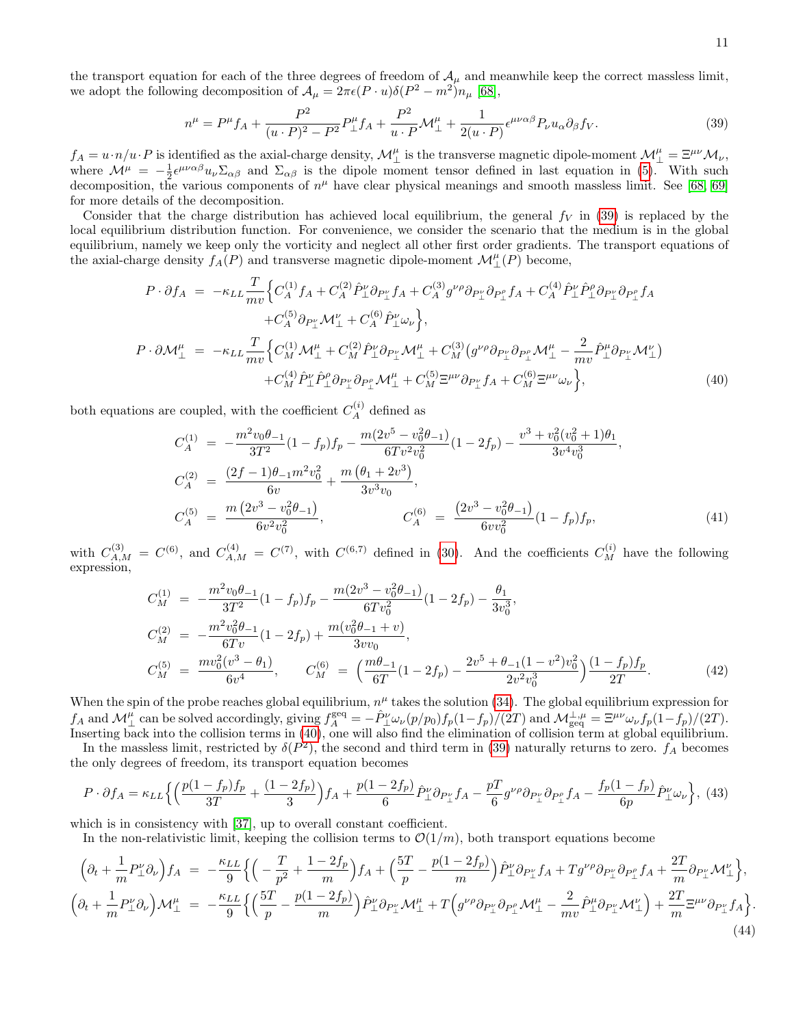the transport equation for each of the three degrees of freedom of  $A_\mu$  and meanwhile keep the correct massless limit, we adopt the following decomposition of  $\mathcal{A}_{\mu} = 2\pi\epsilon(P\cdot u)\delta(P^2 - m^2)n_{\mu}$  [\[68\]](#page-19-11),

<span id="page-10-0"></span>
$$
n^{\mu} = P^{\mu} f_A + \frac{P^2}{(u \cdot P)^2 - P^2} P^{\mu}_{\perp} f_A + \frac{P^2}{u \cdot P} \mathcal{M}^{\mu}_{\perp} + \frac{1}{2(u \cdot P)} \epsilon^{\mu \nu \alpha \beta} P_{\nu} u_{\alpha} \partial_{\beta} f_V. \tag{39}
$$

 $f_A = u \cdot n/u \cdot P$  is identified as the axial-charge density,  $\mathcal{M}_{\perp}^{\mu}$  is the transverse magnetic dipole-moment  $\mathcal{M}_{\perp}^{\mu} = \Xi^{\mu\nu} \mathcal{M}_{\nu}$ , where  $\mathcal{M}^{\mu} = -\frac{1}{2} \epsilon^{\mu\nu\alpha\beta} u_{\nu} \Sigma_{\alpha\beta}$  and  $\Sigma_{\alpha\beta}$  is the dipole moment tensor defined in last equation in [\(5\)](#page-2-2). With such decomposition, the various components of  $n^{\mu}$  have clear physical meanings and smooth massless limit. See [\[68,](#page-19-11) [69\]](#page-19-12) for more details of the decomposition.

Consider that the charge distribution has achieved local equilibrium, the general  $f_V$  in [\(39\)](#page-10-0) is replaced by the local equilibrium distribution function. For convenience, we consider the scenario that the medium is in the global equilibrium, namely we keep only the vorticity and neglect all other first order gradients. The transport equations of the axial-charge density  $f_A(P)$  and transverse magnetic dipole-moment  $\mathcal{M}_{\perp}^{\mu}(P)$  become,

<span id="page-10-1"></span>
$$
P \cdot \partial f_A = -\kappa_{LL} \frac{T}{mv} \Big\{ C_A^{(1)} f_A + C_A^{(2)} \hat{P}_\perp^{\nu} \partial_{P_\perp^{\nu}} f_A + C_A^{(3)} g^{\nu \rho} \partial_{P_\perp^{\nu}} \partial_{P_\perp^{\rho}} f_A + C_A^{(4)} \hat{P}_\perp^{\nu} \hat{P}_\perp^{\rho} \partial_{P_\perp^{\nu}} \partial_{P_\perp^{\rho}} f_A + C_A^{(5)} \partial_{P_\perp^{\nu}} \mathcal{M}_\perp^{\nu} + C_A^{(6)} \hat{P}_\perp^{\nu} \omega_{\nu} \Big\},
$$
  
\n
$$
P \cdot \partial \mathcal{M}_\perp^{\mu} = -\kappa_{LL} \frac{T}{mv} \Big\{ C_M^{(1)} \mathcal{M}_\perp^{\mu} + C_M^{(2)} \hat{P}_\perp^{\nu} \partial_{P_\perp^{\nu}} \mathcal{M}_\perp^{\mu} + C_M^{(3)} (g^{\nu \rho} \partial_{P_\perp^{\nu}} \partial_{P_\perp^{\rho}} \mathcal{M}_\perp^{\mu} - \frac{2}{mv} \hat{P}_\perp^{\mu} \partial_{P_\perp^{\nu}} \mathcal{M}_\perp^{\nu}) + C_M^{(4)} \hat{P}_\perp^{\nu} \hat{P}_\perp^{\rho} \partial_{P_\perp^{\nu}} \mathcal{M}_\perp^{\mu} + C_M^{(5)} \Xi^{\mu \nu} \partial_{P_\perp^{\nu}} f_A + C_M^{(6)} \Xi^{\mu \nu} \omega_{\nu} \Big\},
$$
(40)

both equations are coupled, with the coefficient  $C_A^{(i)}$  defined as

$$
C_A^{(1)} = -\frac{m^2 v_0 \theta_{-1}}{3T^2} (1 - f_p) f_p - \frac{m(2v^5 - v_0^2 \theta_{-1})}{6T v^2 v_0^2} (1 - 2f_p) - \frac{v^3 + v_0^2 (v_0^2 + 1) \theta_1}{3v^4 v_0^3},
$$
  
\n
$$
C_A^{(2)} = \frac{(2f - 1)\theta_{-1} m^2 v_0^2}{6v} + \frac{m(\theta_1 + 2v^3)}{3v^3 v_0},
$$
  
\n
$$
C_A^{(5)} = \frac{m(2v^3 - v_0^2 \theta_{-1})}{6v^2 v_0^2},
$$
  
\n
$$
C_A^{(6)} = \frac{(2v^3 - v_0^2 \theta_{-1})}{6v v_0^2} (1 - f_p) f_p,
$$
  
\n(41)

with  $C_{A,M}^{(3)} = C^{(6)}$ , and  $C_{A,M}^{(4)} = C^{(7)}$ , with  $C^{(6,7)}$  defined in [\(30\)](#page-7-0). And the coefficients  $C_M^{(i)}$  have the following expression,

$$
C_M^{(1)} = -\frac{m^2 v_0 \theta_{-1}}{3T^2} (1 - f_p) f_p - \frac{m(2v^3 - v_0^2 \theta_{-1})}{6T v_0^2} (1 - 2f_p) - \frac{\theta_1}{3v_0^3},
$$
  
\n
$$
C_M^{(2)} = -\frac{m^2 v_0^2 \theta_{-1}}{6T v} (1 - 2f_p) + \frac{m(v_0^2 \theta_{-1} + v)}{3v v_0},
$$
  
\n
$$
C_M^{(5)} = \frac{m v_0^2 (v^3 - \theta_1)}{6v^4}, \qquad C_M^{(6)} = \left(\frac{m\theta_{-1}}{6T} (1 - 2f_p) - \frac{2v^5 + \theta_{-1} (1 - v^2) v_0^2}{2v^2 v_0^3}\right) \frac{(1 - f_p) f_p}{2T}.
$$
\n(42)

When the spin of the probe reaches global equilibrium,  $n^{\mu}$  takes the solution [\(34\)](#page-8-0). The global equilibrium expression for  $f_A$  and  $\mathcal{M}_{\perp}^{\mu}$  can be solved accordingly, giving  $f_A^{\text{geq}} = -\hat{P}_{\perp}^{\nu} \omega_{\nu} (p/p_0) f_p(1-f_p)/(2T)$  and  $\mathcal{M}_{\text{geq}}^{\perp,\mu} = \Xi^{\mu\nu} \omega_{\nu} f_p(1-f_p)/(2T)$ . Inserting back into the collision terms in [\(40\)](#page-10-1), one will also find the elimination of collision term at global equilibrium.

In the massless limit, restricted by  $\delta(P^2)$ , the second and third term in [\(39\)](#page-10-0) naturally returns to zero.  $f_A$  becomes the only degrees of freedom, its transport equation becomes

$$
P \cdot \partial f_A = \kappa_{LL} \Big\{ \Big( \frac{p(1-f_p)f_p}{3T} + \frac{(1-2f_p)}{3} \Big) f_A + \frac{p(1-2f_p)}{6} \hat{P}_{\perp}^{\nu} \partial_{P_{\perp}^{\nu}} f_A - \frac{pT}{6} g^{\nu \rho} \partial_{P_{\perp}^{\nu}} \partial_{P_{\perp}^{\rho}} f_A - \frac{f_p(1-f_p)}{6p} \hat{P}_{\perp}^{\nu} \omega_{\nu} \Big\}, \tag{43}
$$

which is in consistency with [\[37\]](#page-18-20), up to overall constant coefficient.

In the non-relativistic limit, keeping the collision terms to  $\mathcal{O}(1/m)$ , both transport equations become

$$
\begin{split}\n\left(\partial_{t} + \frac{1}{m}P_{\perp}^{\nu}\partial_{\nu}\right) f_{A} &= -\frac{\kappa_{LL}}{9} \Big\{ \left( -\frac{T}{p^{2}} + \frac{1-2f_{p}}{m} \right) f_{A} + \left( \frac{5T}{p} - \frac{p(1-2f_{p})}{m} \right) \hat{P}_{\perp}^{\nu} \partial_{P_{\perp}^{\nu}} f_{A} + T g^{\nu \rho} \partial_{P_{\perp}^{\nu}} \partial_{P_{\perp}^{\rho}} f_{A} + \frac{2T}{m} \partial_{P_{\perp}^{\nu}} \mathcal{M}_{\perp}^{\nu} \Big\}, \\
\left(\partial_{t} + \frac{1}{m}P_{\perp}^{\nu} \partial_{\nu}\right) \mathcal{M}_{\perp}^{\mu} &= -\frac{\kappa_{LL}}{9} \Big\{ \left( \frac{5T}{p} - \frac{p(1-2f_{p})}{m} \right) \hat{P}_{\perp}^{\nu} \partial_{P_{\perp}^{\nu}} \mathcal{M}_{\perp}^{\mu} + T \Big( g^{\nu \rho} \partial_{P_{\perp}^{\nu}} \partial_{P_{\perp}^{\rho}} \mathcal{M}_{\perp}^{\mu} - \frac{2}{m v} \hat{P}_{\perp}^{\mu} \partial_{P_{\perp}^{\nu}} \mathcal{M}_{\perp}^{\nu} \Big\} + \frac{2T}{m} \Xi^{\mu \nu} \partial_{P_{\perp}^{\nu}} f_{A} \Big\} \n\end{split} \tag{44}
$$

.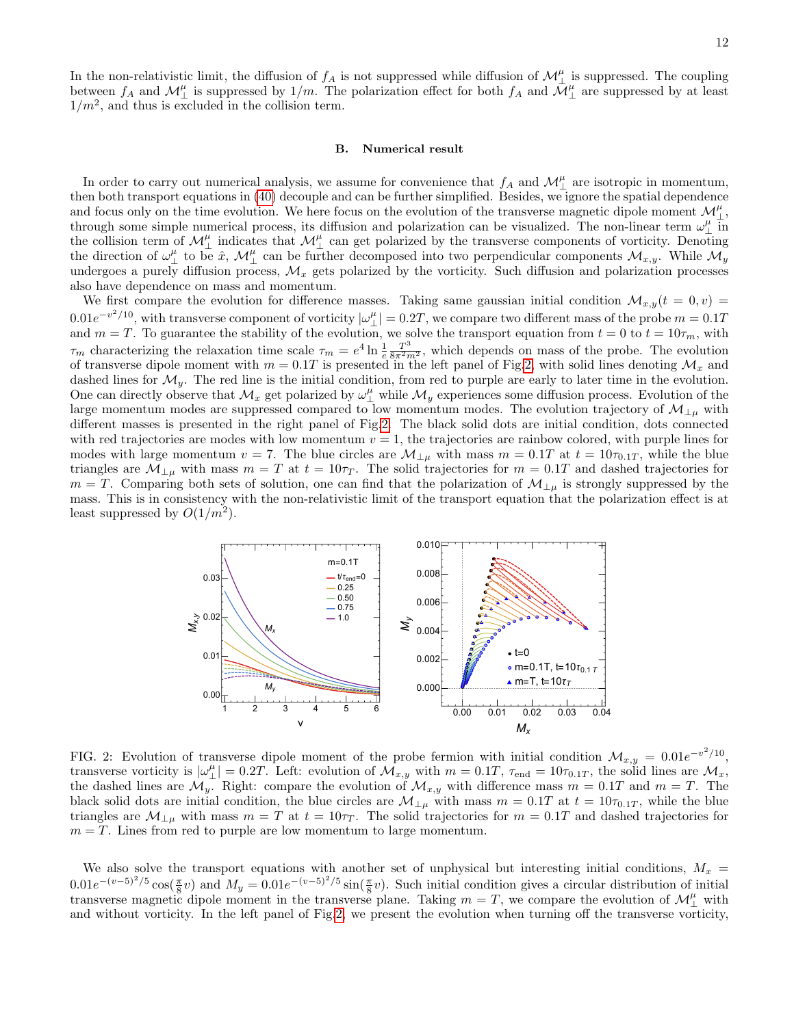In the non-relativistic limit, the diffusion of  $f_A$  is not suppressed while diffusion of  $\mathcal{M}_{\perp}^{\mu}$  is suppressed. The coupling between  $f_A$  and  $\mathcal{M}_{\perp}^{\mu}$  is suppressed by  $1/m$ . The polarization effect for both  $f_A$  and  $\mathcal{M}_{\perp}^{\mu}$  are suppressed by at least  $1/m^2$ , and thus is excluded in the collision term.

#### B. Numerical result

In order to carry out numerical analysis, we assume for convenience that  $f_A$  and  $\mathcal{M}_{\perp}^{\mu}$  are isotropic in momentum, then both transport equations in [\(40\)](#page-10-1) decouple and can be further simplified. Besides, we ignore the spatial dependence and focus only on the time evolution. We here focus on the evolution of the transverse magnetic dipole moment  $\mathcal{M}_{\perp}^{\mu}$ , through some simple numerical process, its diffusion and polarization can be visualized. The non-linear term  $\omega_\perp^\mu$  in the collision term of  $\mathcal{M}_{\perp}^{\mu}$  indicates that  $\mathcal{M}_{\perp}^{\mu}$  can get polarized by the transverse components of vorticity. Denoting the direction of  $\omega_{\perp}^{\mu}$  to be  $\hat{x}$ ,  $\mathcal{M}_{\perp}^{\mu}$  can be further decomposed into two perpendicular components  $\mathcal{M}_{x,y}$ . While  $\mathcal{M}_{y}$ undergoes a purely diffusion process,  $\mathcal{M}_x$  gets polarized by the vorticity. Such diffusion and polarization processes also have dependence on mass and momentum.

We first compare the evolution for difference masses. Taking same gaussian initial condition  $\mathcal{M}_{x,y}(t=0,v)$  $0.01e^{-v^2/10}$ , with transverse component of vorticity  $|\omega_{\perp}^{\mu}| = 0.2T$ , we compare two different mass of the probe  $m = 0.1T$ and  $m = T$ . To guarantee the stability of the evolution, we solve the transport equation from  $t = 0$  to  $t = 10\tau_m$ , with  $\tau_m$  characterizing the relaxation time scale  $\tau_m = e^4 \ln \frac{1}{e} \frac{T^3}{8\pi^2 m^2}$ , which depends on mass of the probe. The evolution of transverse dipole moment with  $m = 0.1T$  is presented in the left panel of Fig[.2,](#page-11-0) with solid lines denoting  $\mathcal{M}_x$  and dashed lines for  $\mathcal{M}_y$ . The red line is the initial condition, from red to purple are early to later time in the evolution. One can directly observe that  $\mathcal{M}_x$  get polarized by  $\omega_\perp^\mu$  while  $\mathcal{M}_y$  experiences some diffusion process. Evolution of the large momentum modes are suppressed compared to low momentum modes. The evolution trajectory of  $\mathcal{M}_{\perp\mu}$  with different masses is presented in the right panel of Fig[.2.](#page-11-0) The black solid dots are initial condition, dots connected with red trajectories are modes with low momentum  $v = 1$ , the trajectories are rainbow colored, with purple lines for modes with large momentum  $v = 7$ . The blue circles are  $\mathcal{M}_{\perp \mu}$  with mass  $m = 0.1T$  at  $t = 10\tau_{0.1T}$ , while the blue triangles are  $\mathcal{M}_{\perp\mu}$  with mass  $m = T$  at  $t = 10\tau_T$ . The solid trajectories for  $m = 0.1T$  and dashed trajectories for  $m = T$ . Comparing both sets of solution, one can find that the polarization of  $\mathcal{M}_{\perp\mu}$  is strongly suppressed by the mass. This is in consistency with the non-relativistic limit of the transport equation that the polarization effect is at least suppressed by  $O(1/m^2)$ .

<span id="page-11-0"></span>

FIG. 2: Evolution of transverse dipole moment of the probe fermion with initial condition  $\mathcal{M}_{x,y} = 0.01e^{-v^2/10}$ , transverse vorticity is  $|\omega_{\perp}^{\mu}| = 0.2T$ . Left: evolution of  $\mathcal{M}_{x,y}$  with  $m = 0.1T$ ,  $\tau_{\text{end}} = 10\tau_{0.1T}$ , the solid lines are  $\mathcal{M}_x$ , the dashed lines are  $\mathcal{M}_y$ . Right: compare the evolution of  $\mathcal{M}_{x,y}$  with difference mass  $m = 0.1T$  and  $m = T$ . The black solid dots are initial condition, the blue circles are  $\mathcal{M}_{\perp\mu}$  with mass  $m = 0.1T$  at  $t = 10\tau_{0.1T}$ , while the blue triangles are  $\mathcal{M}_{\perp\mu}$  with mass  $m = T$  at  $t = 10\tau_T$ . The solid trajectories for  $m = 0.1T$  and dashed trajectories for  $m = T$ . Lines from red to purple are low momentum to large momentum.

We also solve the transport equations with another set of unphysical but interesting initial conditions,  $M_x$  =  $0.01e^{-(v-5)^2/5}\cos(\frac{\pi}{8}v)$  and  $M_y = 0.01e^{-(v-5)^2/5}\sin(\frac{\pi}{8}v)$ . Such initial condition gives a circular distribution of initial transverse magnetic dipole moment in the transverse plane. Taking  $m = T$ , we compare the evolution of  $\mathcal{M}_{\perp}^{\mu}$  with and without vorticity. In the left panel of Fig[.2,](#page-11-0) we present the evolution when turning off the transverse vorticity,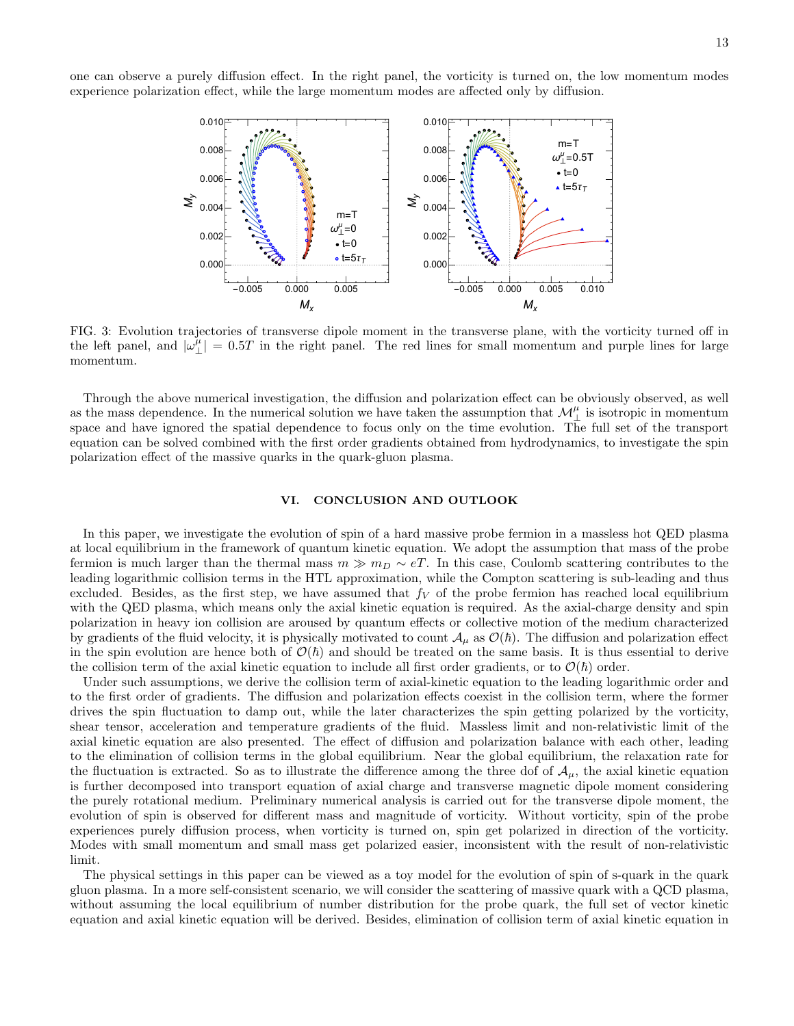one can observe a purely diffusion effect. In the right panel, the vorticity is turned on, the low momentum modes experience polarization effect, while the large momentum modes are affected only by diffusion.



FIG. 3: Evolution trajectories of transverse dipole moment in the transverse plane, with the vorticity turned off in the left panel, and  $|\omega_{\perp}^{\mu}| = 0.5T$  in the right panel. The red lines for small momentum and purple lines for large momentum.

Through the above numerical investigation, the diffusion and polarization effect can be obviously observed, as well as the mass dependence. In the numerical solution we have taken the assumption that  $\mathcal{M}_{\perp}^{\mu}$  is isotropic in momentum space and have ignored the spatial dependence to focus only on the time evolution. The full set of the transport equation can be solved combined with the first order gradients obtained from hydrodynamics, to investigate the spin polarization effect of the massive quarks in the quark-gluon plasma.

# <span id="page-12-0"></span>VI. CONCLUSION AND OUTLOOK

In this paper, we investigate the evolution of spin of a hard massive probe fermion in a massless hot QED plasma at local equilibrium in the framework of quantum kinetic equation. We adopt the assumption that mass of the probe fermion is much larger than the thermal mass  $m \gg m_D \sim eT$ . In this case, Coulomb scattering contributes to the leading logarithmic collision terms in the HTL approximation, while the Compton scattering is sub-leading and thus excluded. Besides, as the first step, we have assumed that  $f_V$  of the probe fermion has reached local equilibrium with the QED plasma, which means only the axial kinetic equation is required. As the axial-charge density and spin polarization in heavy ion collision are aroused by quantum effects or collective motion of the medium characterized by gradients of the fluid velocity, it is physically motivated to count  $\mathcal{A}_{\mu}$  as  $\mathcal{O}(\hbar)$ . The diffusion and polarization effect in the spin evolution are hence both of  $\mathcal{O}(\hbar)$  and should be treated on the same basis. It is thus essential to derive the collision term of the axial kinetic equation to include all first order gradients, or to  $\mathcal{O}(\hbar)$  order.

Under such assumptions, we derive the collision term of axial-kinetic equation to the leading logarithmic order and to the first order of gradients. The diffusion and polarization effects coexist in the collision term, where the former drives the spin fluctuation to damp out, while the later characterizes the spin getting polarized by the vorticity, shear tensor, acceleration and temperature gradients of the fluid. Massless limit and non-relativistic limit of the axial kinetic equation are also presented. The effect of diffusion and polarization balance with each other, leading to the elimination of collision terms in the global equilibrium. Near the global equilibrium, the relaxation rate for the fluctuation is extracted. So as to illustrate the difference among the three dof of  $A_\mu$ , the axial kinetic equation is further decomposed into transport equation of axial charge and transverse magnetic dipole moment considering the purely rotational medium. Preliminary numerical analysis is carried out for the transverse dipole moment, the evolution of spin is observed for different mass and magnitude of vorticity. Without vorticity, spin of the probe experiences purely diffusion process, when vorticity is turned on, spin get polarized in direction of the vorticity. Modes with small momentum and small mass get polarized easier, inconsistent with the result of non-relativistic limit.

The physical settings in this paper can be viewed as a toy model for the evolution of spin of s-quark in the quark gluon plasma. In a more self-consistent scenario, we will consider the scattering of massive quark with a QCD plasma, without assuming the local equilibrium of number distribution for the probe quark, the full set of vector kinetic equation and axial kinetic equation will be derived. Besides, elimination of collision term of axial kinetic equation in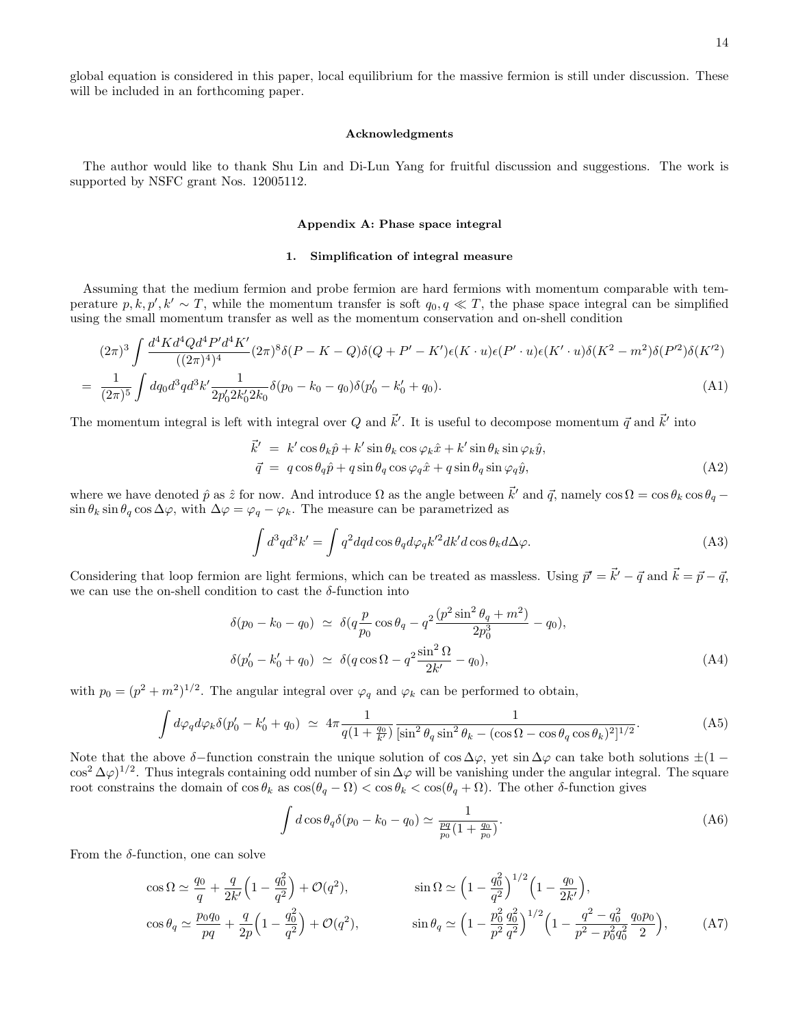global equation is considered in this paper, local equilibrium for the massive fermion is still under discussion. These will be included in an forthcoming paper.

# Acknowledgments

The author would like to thank Shu Lin and Di-Lun Yang for fruitful discussion and suggestions. The work is supported by NSFC grant Nos. 12005112.

#### <span id="page-13-0"></span>Appendix A: Phase space integral

# <span id="page-13-1"></span>1. Simplification of integral measure

Assuming that the medium fermion and probe fermion are hard fermions with momentum comparable with temperature p, k, p', k'  $\sim T$ , while the momentum transfer is soft  $q_0, q \ll T$ , the phase space integral can be simplified using the small momentum transfer as well as the momentum conservation and on-shell condition

$$
(2\pi)^3 \int \frac{d^4 K d^4 Q d^4 P' d^4 K'}{((2\pi)^4)^4} (2\pi)^8 \delta(P - K - Q) \delta(Q + P' - K') \epsilon(K \cdot u) \epsilon(P' \cdot u) \epsilon(K' \cdot u) \delta(K^2 - m^2) \delta(P'^2) \delta(K'^2)
$$
  
= 
$$
\frac{1}{(2\pi)^5} \int dq_0 d^3 q d^3 k' \frac{1}{2p'_0 2k'_0 2k_0} \delta(p_0 - k_0 - q_0) \delta(p'_0 - k'_0 + q_0).
$$
 (A1)

The momentum integral is left with integral over Q and  $\vec{k}'$ . It is useful to decompose momentum  $\vec{q}$  and  $\vec{k}'$  into

$$
\vec{k}' = k' \cos \theta_k \hat{p} + k' \sin \theta_k \cos \varphi_k \hat{x} + k' \sin \theta_k \sin \varphi_k \hat{y}, \n\vec{q} = q \cos \theta_q \hat{p} + q \sin \theta_q \cos \varphi_q \hat{x} + q \sin \theta_q \sin \varphi_q \hat{y},
$$
\n(A2)

where we have denoted  $\hat{p}$  as  $\hat{z}$  for now. And introduce  $\Omega$  as the angle between  $\vec{k}'$  and  $\vec{q}$ , namely  $\cos \Omega = \cos \theta_k \cos \theta_q$  $\sin \theta_k \sin \theta_q \cos \Delta \varphi$ , with  $\Delta \varphi = \varphi_q - \varphi_k$ . The measure can be parametrized as

$$
\int d^3q d^3k' = \int q^2 dq d\cos\theta_q d\varphi_q k'^2 dk' d\cos\theta_k d\Delta\varphi.
$$
 (A3)

Considering that loop fermion are light fermions, which can be treated as massless. Using  $\vec{p}' = \vec{k}' - \vec{q}$  and  $\vec{k} = \vec{p} - \vec{q}$ , we can use the on-shell condition to cast the  $\delta$ -function into

$$
\delta(p_0 - k_0 - q_0) \simeq \delta(q \frac{p}{p_0} \cos \theta_q - q^2 \frac{(p^2 \sin^2 \theta_q + m^2)}{2p_0^3} - q_0),
$$
  

$$
\delta(p'_0 - k'_0 + q_0) \simeq \delta(q \cos \Omega - q^2 \frac{\sin^2 \Omega}{2k'} - q_0),
$$
 (A4)

with  $p_0 = (p^2 + m^2)^{1/2}$ . The angular integral over  $\varphi_q$  and  $\varphi_k$  can be performed to obtain,

$$
\int d\varphi_q d\varphi_k \delta(p'_0 - k'_0 + q_0) \simeq 4\pi \frac{1}{q(1 + \frac{q_0}{k'})} \frac{1}{\left[\sin^2 \theta_q \sin^2 \theta_k - (\cos \Omega - \cos \theta_q \cos \theta_k)^2\right]^{1/2}}.
$$
 (A5)

Note that the above  $\delta$ −function constrain the unique solution of cos  $\Delta\varphi$ , yet sin  $\Delta\varphi$  can take both solutions  $\pm(1-\varphi)$  $\cos^2 \Delta \varphi$ <sup>1/2</sup>. Thus integrals containing odd number of sin  $\Delta \varphi$  will be vanishing under the angular integral. The square root constrains the domain of  $\cos \theta_k$  as  $\cos(\theta_q - \Omega) < \cos \theta_k < \cos(\theta_q + \Omega)$ . The other δ-function gives

$$
\int d\cos\theta_q \delta(p_0 - k_0 - q_0) \simeq \frac{1}{\frac{pq}{p_0}(1 + \frac{q_0}{p_0})}.
$$
\n(A6)

From the  $\delta$ -function, one can solve

$$
\cos \Omega \simeq \frac{q_0}{q} + \frac{q}{2k'} \left( 1 - \frac{q_0^2}{q^2} \right) + \mathcal{O}(q^2), \qquad \sin \Omega \simeq \left( 1 - \frac{q_0^2}{q^2} \right)^{1/2} \left( 1 - \frac{q_0}{2k'} \right),
$$
  
\n
$$
\cos \theta_q \simeq \frac{p_0 q_0}{pq} + \frac{q}{2p} \left( 1 - \frac{q_0^2}{q^2} \right) + \mathcal{O}(q^2), \qquad \sin \theta_q \simeq \left( 1 - \frac{p_0^2}{p^2} \frac{q_0^2}{q^2} \right)^{1/2} \left( 1 - \frac{q^2 - q_0^2}{p^2 - p_0^2 q_0^2} \frac{q_0 p_0}{2} \right), \qquad (A7)
$$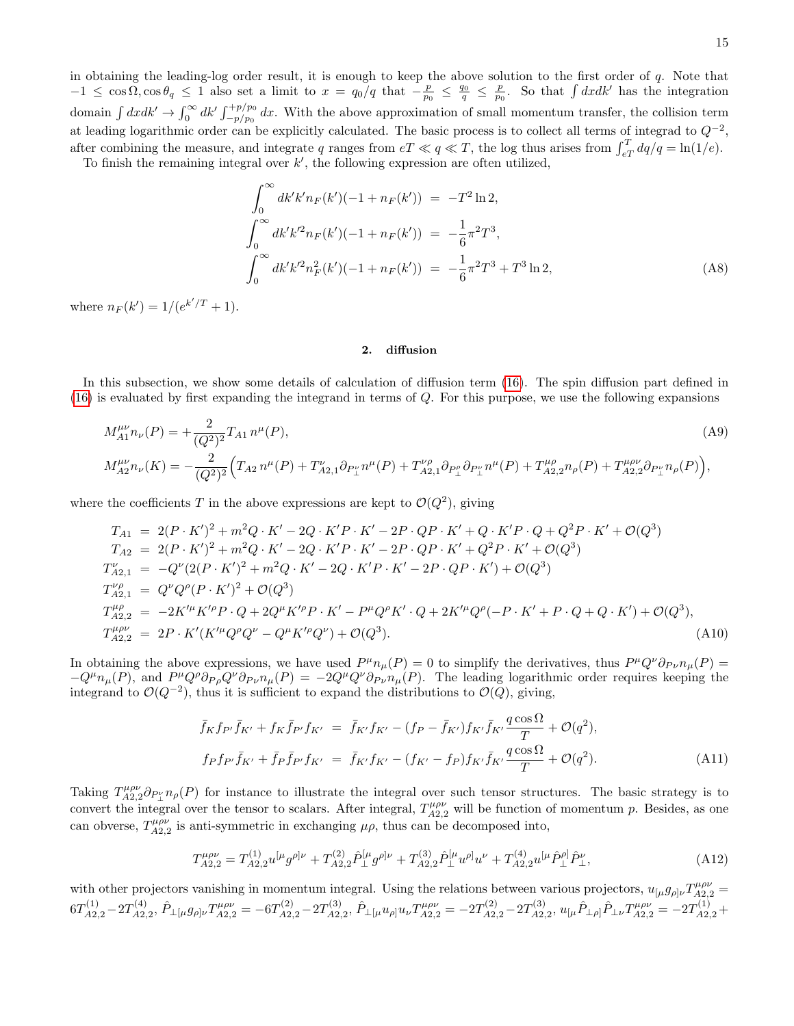in obtaining the leading-log order result, it is enough to keep the above solution to the first order of q. Note that  $-1 \leq \cos\Omega$ ,  $\cos\theta_q \leq 1$  also set a limit to  $x = q_0/q$  that  $-\frac{p}{p_0} \leq \frac{q_0}{q} \leq \frac{p}{p_0}$ . So that  $\int dx dk'$  has the integration domain  $\int dxdk' \to \int_0^\infty dk' \int_{-p/p_0}^{+p/p_0} dx$ . With the above approximation of small momentum transfer, the collision term at leading logarithmic order can be explicitly calculated. The basic process is to collect all terms of integrad to  $Q^{-2}$ , after combining the measure, and integrate q ranges from  $eT \ll q \ll T$ , the log thus arises from  $\int_{eT}^{T} dq/q = \ln(1/e)$ .

To finish the remaining integral over  $k'$ , the following expression are often utilized,

$$
\int_0^\infty dk' k' n_F(k') (-1 + n_F(k')) = -T^2 \ln 2,
$$
  
\n
$$
\int_0^\infty dk' k'^2 n_F(k') (-1 + n_F(k')) = -\frac{1}{6} \pi^2 T^3,
$$
  
\n
$$
\int_0^\infty dk' k'^2 n_F^2(k') (-1 + n_F(k')) = -\frac{1}{6} \pi^2 T^3 + T^3 \ln 2,
$$
\n(A8)

where  $n_F(k') = 1/(e^{k'/T} + 1)$ .

# <span id="page-14-0"></span>2. diffusion

In this subsection, we show some details of calculation of diffusion term [\(16\)](#page-5-3). The spin diffusion part defined in [\(16\)](#page-5-3) is evaluated by first expanding the integrand in terms of Q. For this purpose, we use the following expansions

$$
M_{A1}^{\mu\nu}n_{\nu}(P) = +\frac{2}{(Q^2)^2}T_{A1}n^{\mu}(P),
$$
\n
$$
M_{A2}^{\mu\nu}n_{\nu}(K) = -\frac{2}{(Q^2)^2}\Big(T_{A2}n^{\mu}(P) + T_{A2,1}^{\nu}\partial_{P_{\perp}^{\nu}}n^{\mu}(P) + T_{A2,1}^{\nu\rho}\partial_{P_{\perp}^{\nu}}n^{\mu}(P) + T_{A2,2}^{\mu\rho}n_{\rho}(P) + T_{A2,2}^{\mu\rho\nu}\partial_{P_{\perp}^{\nu}}n_{\rho}(P)\Big),
$$
\n(A9)

where the coefficients T in the above expressions are kept to  $\mathcal{O}(Q^2)$ , giving

<span id="page-14-1"></span>
$$
T_{A1} = 2(P \cdot K')^{2} + m^{2}Q \cdot K' - 2Q \cdot K'P \cdot K' - 2P \cdot QP \cdot K' + Q \cdot K'P \cdot Q + Q^{2}P \cdot K' + \mathcal{O}(Q^{3})
$$
  
\n
$$
T_{A2} = 2(P \cdot K')^{2} + m^{2}Q \cdot K' - 2Q \cdot K'P \cdot K' - 2P \cdot QP \cdot K' + Q^{2}P \cdot K' + \mathcal{O}(Q^{3})
$$
  
\n
$$
T_{A2,1}^{\nu} = -Q^{\nu}(2(P \cdot K')^{2} + m^{2}Q \cdot K' - 2Q \cdot K'P \cdot K' - 2P \cdot QP \cdot K') + \mathcal{O}(Q^{3})
$$
  
\n
$$
T_{A2,1}^{\nu\rho} = Q^{\nu}Q^{\rho}(P \cdot K')^{2} + \mathcal{O}(Q^{3})
$$
  
\n
$$
T_{A2,2}^{\mu\rho} = -2K'^{\mu}K'^{\rho}P \cdot Q + 2Q^{\mu}K'^{\rho}P \cdot K' - P^{\mu}Q^{\rho}K' \cdot Q + 2K'^{\mu}Q^{\rho}(-P \cdot K' + P \cdot Q + Q \cdot K') + \mathcal{O}(Q^{3}),
$$
  
\n
$$
T_{A2,2}^{\mu\rho} = 2P \cdot K'(K'^{\mu}Q^{\rho}Q^{\nu} - Q^{\mu}K'^{\rho}Q^{\nu}) + \mathcal{O}(Q^{3}).
$$
\n(A10)

In obtaining the above expressions, we have used  $P^{\mu}n_{\mu}(P) = 0$  to simplify the derivatives, thus  $P^{\mu}Q^{\nu}\partial_{P\nu}n_{\mu}(P) = 0$  $-Q^{\mu}n_{\mu}(P)$ , and  $P^{\mu}Q^{\rho}\partial_{P\rho}Q^{\nu}\partial_{P\nu}n_{\mu}(P) = -2Q^{\mu}Q^{\nu}\partial_{P\nu}n_{\mu}(P)$ . The leading logarithmic order requires keeping the integrand to  $\mathcal{O}(Q^{-2})$ , thus it is sufficient to expand the distributions to  $\mathcal{O}(Q)$ , giving,

$$
\bar{f}_{K}f_{P'}\bar{f}_{K'} + f_{K}\bar{f}_{P'}f_{K'} = \bar{f}_{K'}f_{K'} - (f_{P} - \bar{f}_{K'})f_{K'}\bar{f}_{K'}\frac{q\cos\Omega}{T} + \mathcal{O}(q^{2}),
$$
\n
$$
f_{P}f_{P'}\bar{f}_{K'} + \bar{f}_{P}\bar{f}_{P'}f_{K'} = \bar{f}_{K'}f_{K'} - (f_{K'} - f_{P})f_{K'}\bar{f}_{K'}\frac{q\cos\Omega}{T} + \mathcal{O}(q^{2}).
$$
\n(A11)

Taking  $T_{A2,2}^{\mu\rho\nu}\partial_{P_{\perp}^{\nu}}n_{\rho}(P)$  for instance to illustrate the integral over such tensor structures. The basic strategy is to convert the integral over the tensor to scalars. After integral,  $T_{A2,2}^{\mu\rho\nu}$  will be function of momentum p. Besides, as one can obverse,  $T_{A2,2}^{\mu\rho\nu}$  is anti-symmetric in exchanging  $\mu\rho$ , thus can be decomposed into,

<span id="page-14-2"></span>
$$
T_{A2,2}^{\mu\rho\nu} = T_{A2,2}^{(1)} u^{[\mu} g^{\rho]\nu} + T_{A2,2}^{(2)} \hat{P}_{\perp}^{[\mu} g^{\rho]\nu} + T_{A2,2}^{(3)} \hat{P}_{\perp}^{[\mu} u^{\rho]} u^{\nu} + T_{A2,2}^{(4)} u^{[\mu} \hat{P}_{\perp}^{\rho]} \hat{P}_{\perp}^{\nu},\tag{A12}
$$

with other projectors vanishing in momentum integral. Using the relations between various projectors,  $u_{\mu}g_{\rho}\gamma_{A2,2}^{\mu\rho\nu}$  $6T_{A2,2}^{(1)}$   $-2T_{A2,2}^{(4)}$  $\hat{P}_{\perp \left[ \mu} g_{\rho \right] \nu} T^{\mu \rho \nu}_{A2,2} = -6 T^{(2)}_{A2,2} - 2 T^{(3)}_{A2,2}$  $\hat{P}_{\perp \left[ \mu} u_{\rho} \right] u_{\nu} T^{\mu \rho \nu}_{A2,2} = - 2 T^{(2)}_{A2,2} - 2 T^{(3)}_{A2,2}$  $A^{(3)}_{A2,2},\,u_{[\mu}\hat{P}_{\perp\rho]}\hat{P}_{\perp\nu}T^{\mu\rho\nu}_{A2,2} = -2T^{(1)}_{A2,2}+ \nonumber$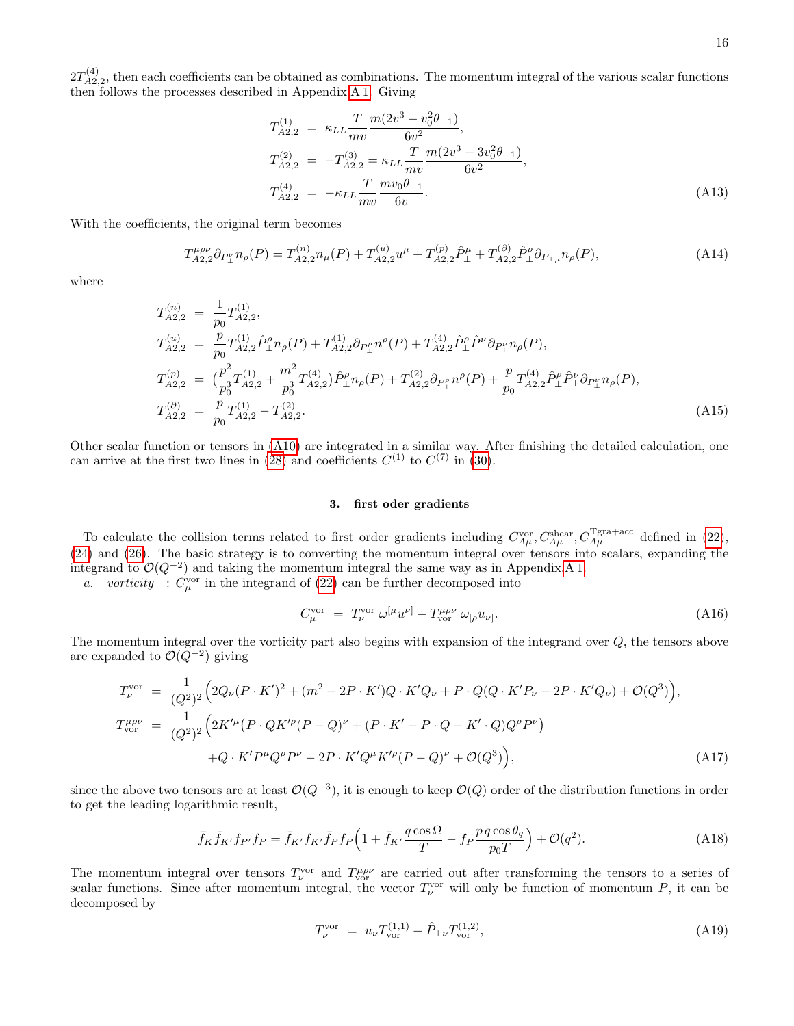$2T_{A2}^{(4)}$  $A_{A2,2}^{(4)}$ , then each coefficients can be obtained as combinations. The momentum integral of the various scalar functions then follows the processes described in Appendix[.A 1.](#page-13-1) Giving

$$
T_{A2,2}^{(1)} = \kappa_{LL} \frac{T}{mv} \frac{m(2v^3 - v_0^2 \theta_{-1})}{6v^2},
$$
  
\n
$$
T_{A2,2}^{(2)} = -T_{A2,2}^{(3)} = \kappa_{LL} \frac{T}{mv} \frac{m(2v^3 - 3v_0^2 \theta_{-1})}{6v^2},
$$
  
\n
$$
T_{A2,2}^{(4)} = -\kappa_{LL} \frac{T}{mv} \frac{mv_0 \theta_{-1}}{6v}.
$$
  
\n(A13)

With the coefficients, the original term becomes

$$
T_{A2,2}^{\mu\rho\nu}\partial_{P_{\perp}^{\nu}}n_{\rho}(P) = T_{A2,2}^{(n)}n_{\mu}(P) + T_{A2,2}^{(u)}u^{\mu} + T_{A2,2}^{(p)}\hat{P}_{\perp}^{\mu} + T_{A2,2}^{(\partial)}\hat{P}_{\perp}^{\rho}\partial_{P_{\perp\mu}}n_{\rho}(P),\tag{A14}
$$

where

$$
T_{A2,2}^{(n)} = \frac{1}{p_0} T_{A2,2}^{(1)},
$$
  
\n
$$
T_{A2,2}^{(u)} = \frac{p}{p_0} T_{A2,2}^{(1)} \hat{P}_\perp^{\rho} n_{\rho}(P) + T_{A2,2}^{(1)} \partial_{P_\perp^{\rho}} n^{\rho}(P) + T_{A2,2}^{(4)} \hat{P}_\perp^{\rho} \hat{P}_\perp^{\nu} \partial_{P_\perp^{\nu}} n_{\rho}(P),
$$
  
\n
$$
T_{A2,2}^{(p)} = \left(\frac{p^2}{p_0^3} T_{A2,2}^{(1)} + \frac{m^2}{p_0^3} T_{A2,2}^{(4)}\right) \hat{P}_\perp^{\rho} n_{\rho}(P) + T_{A2,2}^{(2)} \partial_{P_\perp^{\rho}} n^{\rho}(P) + \frac{p}{p_0} T_{A2,2}^{(4)} \hat{P}_\perp^{\rho} \hat{P}_\perp^{\nu} \partial_{P_\perp^{\nu}} n_{\rho}(P),
$$
  
\n
$$
T_{A2,2}^{(\partial)} = \frac{p}{p_0} T_{A2,2}^{(1)} - T_{A2,2}^{(2)}.
$$
\n(A15)

Other scalar function or tensors in [\(A10\)](#page-14-1) are integrated in a similar way. After finishing the detailed calculation, one can arrive at the first two lines in [\(28\)](#page-6-1) and coefficients  $C^{(1)}$  to  $C^{(7)}$  in [\(30\)](#page-7-0).

#### <span id="page-15-0"></span>3. first oder gradients

To calculate the collision terms related to first order gradients including  $C_{A\mu}^{\text{vor}}, C_{A\mu}^{\text{Shear}}, C_{A\mu}^{\text{Tgra+acc}}$  defined in [\(22\)](#page-5-2), [\(24\)](#page-6-2) and [\(26\)](#page-6-3). The basic strategy is to converting the momentum integral over tensors into scalars, expanding the integrand to  $\mathcal{O}(Q^{-2})$  and taking the momentum integral the same way as in Appendix[.A 1.](#page-13-1)

a. vorticity :  $C_{\mu}^{\text{vor}}$  in the integrand of [\(22\)](#page-5-2) can be further decomposed into

$$
C_{\mu}^{\text{vor}} = T_{\nu}^{\text{vor}} \omega^{[\mu} u^{\nu]} + T_{\text{vor}}^{\mu \rho \nu} \omega_{[\rho} u_{\nu]}.
$$
\n(A16)

The momentum integral over the vorticity part also begins with expansion of the integrand over Q, the tensors above are expanded to  $\mathcal{O}(Q^{-2})$  giving

$$
T_{\nu}^{\text{vor}} = \frac{1}{(Q^2)^2} \Big( 2Q_{\nu} (P \cdot K')^2 + (m^2 - 2P \cdot K')Q \cdot K'Q_{\nu} + P \cdot Q(Q \cdot K'P_{\nu} - 2P \cdot K'Q_{\nu}) + \mathcal{O}(Q^3) \Big),
$$
  
\n
$$
T_{\text{vor}}^{\mu \rho \nu} = \frac{1}{(Q^2)^2} \Big( 2K'^{\mu} (P \cdot QK'^{\rho} (P - Q)^{\nu} + (P \cdot K' - P \cdot Q - K' \cdot Q)Q^{\rho} P^{\nu})
$$
  
\n
$$
+ Q \cdot K'P^{\mu} Q^{\rho} P^{\nu} - 2P \cdot K' Q^{\mu} K'^{\rho} (P - Q)^{\nu} + \mathcal{O}(Q^3) \Big),
$$
\n(A17)

since the above two tensors are at least  $\mathcal{O}(Q^{-3})$ , it is enough to keep  $\mathcal{O}(Q)$  order of the distribution functions in order to get the leading logarithmic result,

<span id="page-15-1"></span>
$$
\bar{f}_K \bar{f}_{K'} f_{P'} f_P = \bar{f}_{K'} f_{K'} \bar{f}_P f_P \left( 1 + \bar{f}_{K'} \frac{q \cos \Omega}{T} - f_P \frac{p \, q \cos \theta_q}{p_0 T} \right) + \mathcal{O}(q^2). \tag{A18}
$$

The momentum integral over tensors  $T_{\nu}^{vor}$  and  $T_{\nu}^{\mu\rho\nu}$  are carried out after transforming the tensors to a series of scalar functions. Since after momentum integral, the vector  $T_{\nu}^{vor}$  will only be function of momentum P, it can be decomposed by

$$
T_{\nu}^{\text{vor}} = u_{\nu} T_{\text{vor}}^{(1,1)} + \hat{P}_{\perp \nu} T_{\text{vor}}^{(1,2)}, \tag{A19}
$$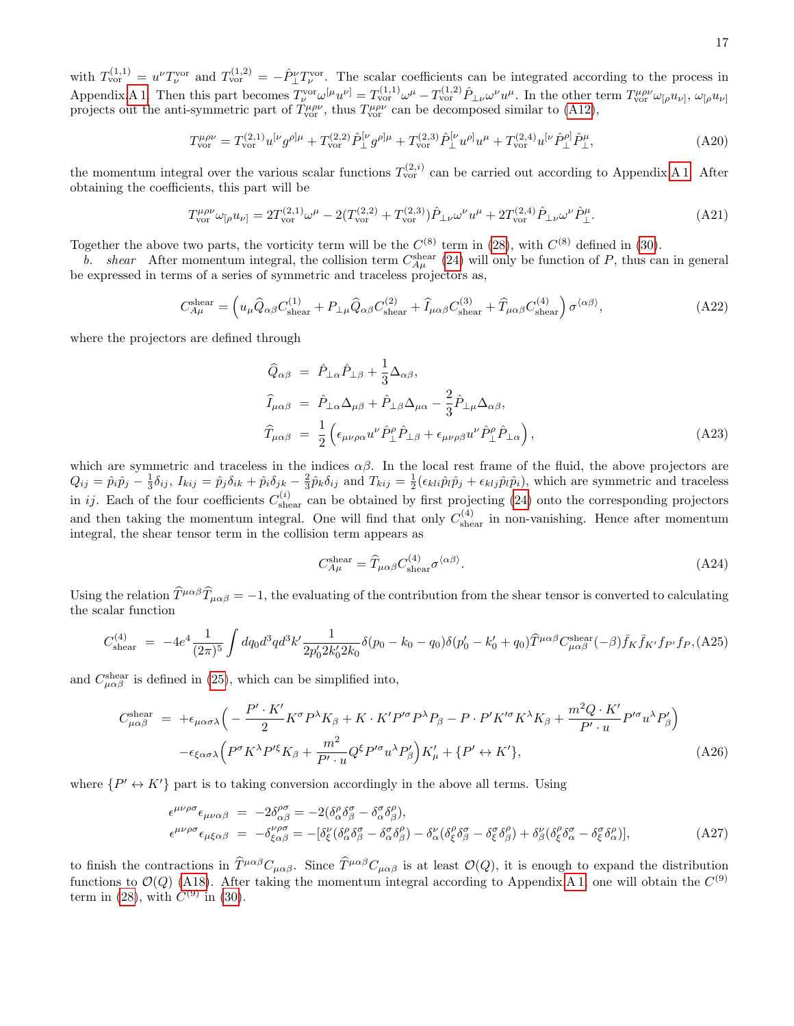with  $T_{\text{vor}}^{(1,1)} = u^{\nu} T_{\nu}^{\text{vor}}$  and  $T_{\text{vor}}^{(1,2)} = -\hat{P}_{\perp}^{\nu} T_{\nu}^{\text{vor}}$ . The scalar coefficients can be integrated according to the process in Appendix[.A 1.](#page-13-1) Then this part becomes  $T_{\nu}^{\text{vor}} \omega^{[\mu} u^{\nu]} = T_{\text{vor}}^{(1,1)} \omega^{\mu} - T_{\text{vor}}^{(1,2)} \hat{P}_{\perp \nu} \omega^{\nu} u^{\mu}$ . In the other term  $T_{\text{vor}}^{\mu \rho \nu} \omega_{[\rho} u_{\nu]}, \omega_{[\rho} u_{\nu]}$ projects out the anti-symmetric part of  $T_{\text{vor}}^{\mu\rho\nu}$ , thus  $T_{\text{vor}}^{\mu\rho\nu}$  can be decomposed similar to [\(A12\)](#page-14-2),

$$
T_{\text{vor}}^{\mu\rho\nu} = T_{\text{vor}}^{(2,1)} u^{[\nu} g^{\rho]\mu} + T_{\text{vor}}^{(2,2)} \hat{P}_{\perp}^{[\nu} g^{\rho]\mu} + T_{\text{vor}}^{(2,3)} \hat{P}_{\perp}^{[\nu} u^{\rho]} u^{\mu} + T_{\text{vor}}^{(2,4)} u^{[\nu} \hat{P}_{\perp}^{\rho]} \hat{P}_{\perp}^{\mu},\tag{A20}
$$

the momentum integral over the various scalar functions  $T_{\text{vor}}^{(2,i)}$  can be carried out according to Appendix[.A 1.](#page-13-1) After obtaining the coefficients, this part will be

$$
T_{\text{vor}}^{\mu\rho\nu}\omega_{[\rho}u_{\nu]} = 2T_{\text{vor}}^{(2,1)}\omega^{\mu} - 2(T_{\text{vor}}^{(2,2)} + T_{\text{vor}}^{(2,3)})\hat{P}_{\perp\nu}\omega^{\nu}u^{\mu} + 2T_{\text{vor}}^{(2,4)}\hat{P}_{\perp\nu}\omega^{\nu}\hat{P}_{\perp}^{\mu}.
$$
(A21)

Together the above two parts, the vorticity term will be the  $C^{(8)}$  term in [\(28\)](#page-6-1), with  $C^{(8)}$  defined in [\(30\)](#page-7-0).

b. shear After momentum integral, the collision term  $C_{A\mu}^{\text{shear}}(24)$  $C_{A\mu}^{\text{shear}}(24)$  will only be function of P, thus can in general be expressed in terms of a series of symmetric and traceless projectors as,

$$
C_{A\mu}^{\text{shear}} = \left( u_{\mu} \hat{Q}_{\alpha\beta} C_{\text{shear}}^{(1)} + P_{\perp\mu} \hat{Q}_{\alpha\beta} C_{\text{shear}}^{(2)} + \hat{I}_{\mu\alpha\beta} C_{\text{shear}}^{(3)} + \hat{T}_{\mu\alpha\beta} C_{\text{shear}}^{(4)} \right) \sigma^{\langle\alpha\beta\rangle},\tag{A22}
$$

where the projectors are defined through

$$
\begin{split}\n\widehat{Q}_{\alpha\beta} &= \hat{P}_{\perp\alpha}\hat{P}_{\perp\beta} + \frac{1}{3}\Delta_{\alpha\beta}, \\
\widehat{I}_{\mu\alpha\beta} &= \hat{P}_{\perp\alpha}\Delta_{\mu\beta} + \hat{P}_{\perp\beta}\Delta_{\mu\alpha} - \frac{2}{3}\hat{P}_{\perp\mu}\Delta_{\alpha\beta}, \\
\widehat{T}_{\mu\alpha\beta} &= \frac{1}{2}\left(\epsilon_{\mu\nu\rho\alpha}u^{\nu}\hat{P}_{\perp}^{\rho}\hat{P}_{\perp\beta} + \epsilon_{\mu\nu\rho\beta}u^{\nu}\hat{P}_{\perp}^{\rho}\hat{P}_{\perp\alpha}\right),\n\end{split} \tag{A23}
$$

which are symmetric and traceless in the indices  $\alpha\beta$ . In the local rest frame of the fluid, the above projectors are  $Q_{ij} = \hat{p}_i \hat{p}_j - \frac{1}{3} \delta_{ij}$ ,  $I_{kij} = \hat{p}_j \delta_{ik} + \hat{p}_i \delta_{jk} - \frac{2}{3} \hat{p}_k \delta_{ij}$  and  $T_{kij} = \frac{1}{2} (\epsilon_{kli} \hat{p}_l \hat{p}_j + \epsilon_{klj} \hat{p}_l \hat{p}_i)$ , which are symmetric and traceless in *ij*. Each of the four coefficients  $C_{\text{shear}}^{(i)}$  can be obtained by first projecting [\(24\)](#page-6-2) onto the corresponding projectors and then taking the momentum integral. One will find that only  $C_{\text{shear}}^{(4)}$  in non-vanishing. Hence after momentum integral, the shear tensor term in the collision term appears as

$$
C_{A\mu}^{\text{shear}} = \hat{T}_{\mu\alpha\beta} C_{\text{shear}}^{(4)} \sigma^{\langle\alpha\beta\rangle}.
$$
 (A24)

Using the relation  $\hat{T}^{\mu\alpha\beta}\hat{T}_{\mu\alpha\beta} = -1$ , the evaluating of the contribution from the shear tensor is converted to calculating the scalar function

$$
C_{\text{shear}}^{(4)} = -4e^4 \frac{1}{(2\pi)^5} \int dq_0 d^3q d^3k' \frac{1}{2p'_0 2k'_0 2k_0} \delta(p_0 - k_0 - q_0) \delta(p'_0 - k'_0 + q_0) \hat{T}^{\mu\alpha\beta} C_{\mu\alpha\beta}^{\text{shear}}(-\beta) \bar{f}_K \bar{f}_{K'} f_{P'} f_{P}, \text{(A25)}
$$

and  $C_{\mu\alpha\beta}^{\text{shear}}$  is defined in [\(25\)](#page-6-4), which can be simplified into,

$$
C_{\mu\alpha\beta}^{\text{shear}} = +\epsilon_{\mu\alpha\sigma\lambda} \Big( -\frac{P' \cdot K'}{2} K^{\sigma} P^{\lambda} K_{\beta} + K \cdot K' P'^{\sigma} P^{\lambda} P_{\beta} - P \cdot P' K'^{\sigma} K^{\lambda} K_{\beta} + \frac{m^2 Q \cdot K'}{P' \cdot u} P'^{\sigma} u^{\lambda} P'_{\beta} \Big) - \epsilon_{\xi\alpha\sigma\lambda} \Big( P^{\sigma} K^{\lambda} P'^{\xi} K_{\beta} + \frac{m^2}{P' \cdot u} Q^{\xi} P'^{\sigma} u^{\lambda} P'_{\beta} \Big) K'_{\mu} + \{ P' \leftrightarrow K' \},
$$
(A26)

where  $\{P' \leftrightarrow K'\}$  part is to taking conversion accordingly in the above all terms. Using

<span id="page-16-0"></span>
$$
\epsilon^{\mu\nu\rho\sigma}\epsilon_{\mu\nu\alpha\beta} = -2\delta^{\rho\sigma}_{\alpha\beta} = -2(\delta^{\rho}_{\alpha}\delta^{\sigma}_{\beta} - \delta^{\sigma}_{\alpha}\delta^{\rho}_{\beta}),\n\epsilon^{\mu\nu\rho\sigma}\epsilon_{\mu\xi\alpha\beta} = -\delta^{\nu\rho\sigma}_{\xi\alpha\beta} = -[\delta^{\nu}_{\xi}(\delta^{\rho}_{\alpha}\delta^{\sigma}_{\beta} - \delta^{\sigma}_{\alpha}\delta^{\rho}_{\beta}) - \delta^{\nu}_{\alpha}(\delta^{\rho}_{\xi}\delta^{\sigma}_{\beta} - \delta^{\sigma}_{\xi}\delta^{\rho}_{\beta}) + \delta^{\nu}_{\beta}(\delta^{\rho}_{\xi}\delta^{\sigma}_{\alpha} - \delta^{\sigma}_{\xi}\delta^{\rho}_{\alpha})],
$$
\n(A27)

to finish the contractions in  $\hat{T}^{\mu\alpha\beta}C_{\mu\alpha\beta}$ . Since  $\hat{T}^{\mu\alpha\beta}C_{\mu\alpha\beta}$  is at least  $\mathcal{O}(Q)$ , it is enough to expand the distribution functions to  $\mathcal{O}(Q)$  [\(A18\)](#page-15-1). After taking the momentum integral according to Appendix[.A 1,](#page-13-1) one will obtain the  $C^{(9)}$ term in [\(28\)](#page-6-1), with  $C^{(9)}$  in [\(30\)](#page-7-0).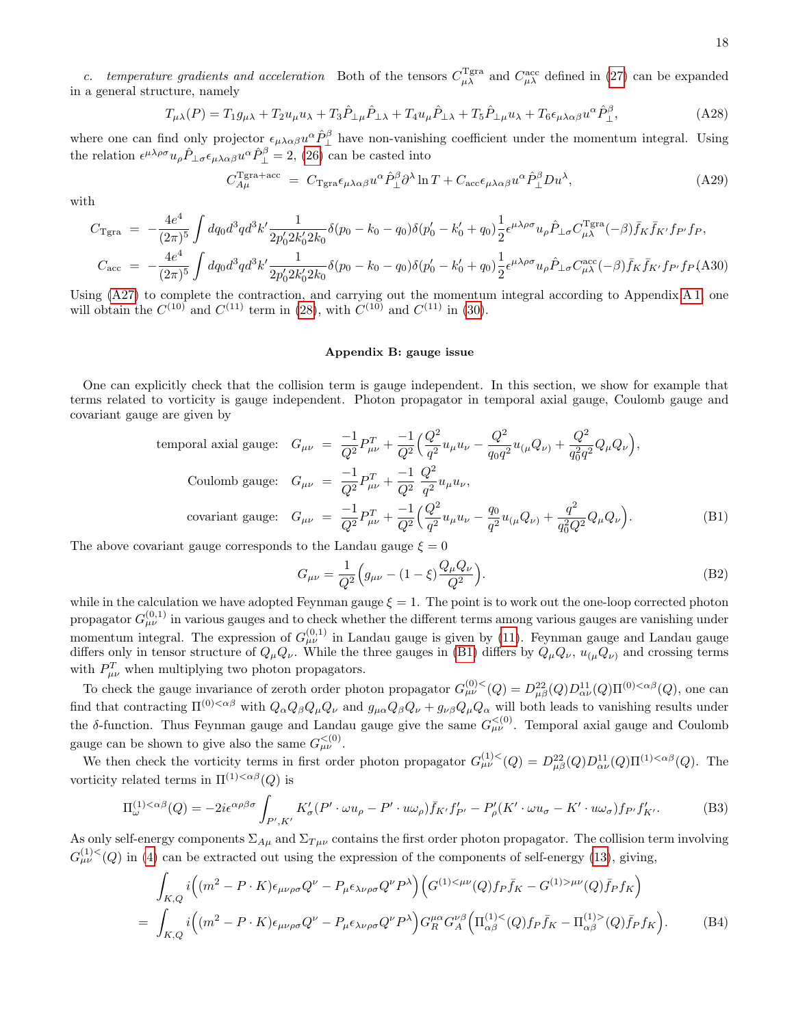c. temperature gradients and acceleration Both of the tensors  $C_{\mu\lambda}^{\text{Tgra}}$  and  $C_{\mu\lambda}^{\text{acc}}$  defined in [\(27\)](#page-6-5) can be expanded in a general structure, namely

$$
T_{\mu\lambda}(P) = T_1 g_{\mu\lambda} + T_2 u_{\mu} u_{\lambda} + T_3 \hat{P}_{\perp\mu} \hat{P}_{\perp\lambda} + T_4 u_{\mu} \hat{P}_{\perp\lambda} + T_5 \hat{P}_{\perp\mu} u_{\lambda} + T_6 \epsilon_{\mu\lambda\alpha\beta} u^{\alpha} \hat{P}_{\perp}^{\beta},\tag{A28}
$$

where one can find only projector  $\epsilon_{\mu\lambda\alpha\beta}u^{\alpha}\hat{P}_{\perp}^{\beta}$  have non-vanishing coefficient under the momentum integral. Using the relation  $\epsilon^{\mu\lambda\rho\sigma}u_{\rho}\hat{P}_{\perp\sigma}\epsilon_{\mu\lambda\alpha\beta}u^{\alpha}\hat{P}_{\perp}^{\beta} = 2$ , [\(26\)](#page-6-3) can be casted into

$$
C_{A\mu}^{\text{Tgra+acc}} = C_{\text{Tgra}} \epsilon_{\mu\lambda\alpha\beta} u^{\alpha} \hat{P}_{\perp}^{\beta} \partial^{\lambda} \ln T + C_{\text{acc}} \epsilon_{\mu\lambda\alpha\beta} u^{\alpha} \hat{P}_{\perp}^{\beta} D u^{\lambda}, \tag{A29}
$$

with

$$
C_{\text{Tgra}} = -\frac{4e^4}{(2\pi)^5} \int dq_0 d^3q d^3k' \frac{1}{2p'_0 2k'_0 2k_0} \delta(p_0 - k_0 - q_0) \delta(p'_0 - k'_0 + q_0) \frac{1}{2} \epsilon^{\mu\lambda\rho\sigma} u_\rho \hat{P}_{\perp\sigma} C_{\mu\lambda}^{\text{Tgra}}(-\beta) \bar{f}_K \bar{f}_{K'} f_{P'} f_P,
$$
  
\n
$$
C_{\text{acc}} = -\frac{4e^4}{(2\pi)^5} \int dq_0 d^3q d^3k' \frac{1}{2p'_0 2k'_0 2k_0} \delta(p_0 - k_0 - q_0) \delta(p'_0 - k'_0 + q_0) \frac{1}{2} \epsilon^{\mu\lambda\rho\sigma} u_\rho \hat{P}_{\perp\sigma} C_{\mu\lambda}^{\text{acc}}(-\beta) \bar{f}_K \bar{f}_{K'} f_{P'} f_P \text{ (A30)}
$$

Using [\(A27\)](#page-16-0) to complete the contraction, and carrying out the momentum integral according to Appendix[.A 1,](#page-13-1) one will obtain the  $C^{(10)}$  and  $C^{(11)}$  term in [\(28\)](#page-6-1), with  $C^{(10)}$  and  $C^{(11)}$  in [\(30\)](#page-7-0).

#### <span id="page-17-0"></span>Appendix B: gauge issue

One can explicitly check that the collision term is gauge independent. In this section, we show for example that terms related to vorticity is gauge independent. Photon propagator in temporal axial gauge, Coulomb gauge and covariant gauge are given by

<span id="page-17-1"></span>temporal axial gauge: 
$$
G_{\mu\nu} = \frac{-1}{Q^2} P_{\mu\nu}^T + \frac{-1}{Q^2} \Big( \frac{Q^2}{q^2} u_{\mu} u_{\nu} - \frac{Q^2}{q_0 q^2} u_{(\mu} Q_{\nu)} + \frac{Q^2}{q_0^2 q^2} Q_{\mu} Q_{\nu} \Big),
$$
  
\nCoulomb gauge:  $G_{\mu\nu} = \frac{-1}{Q^2} P_{\mu\nu}^T + \frac{-1}{Q^2} \frac{Q^2}{q^2} u_{\mu} u_{\nu},$   
\ncovariant gauge:  $G_{\mu\nu} = \frac{-1}{Q^2} P_{\mu\nu}^T + \frac{-1}{Q^2} \Big( \frac{Q^2}{q^2} u_{\mu} u_{\nu} - \frac{q_0}{q^2} u_{(\mu} Q_{\nu)} + \frac{q^2}{q_0^2 Q^2} Q_{\mu} Q_{\nu} \Big).$  (B1)

The above covariant gauge corresponds to the Landau gauge  $\xi = 0$ 

$$
G_{\mu\nu} = \frac{1}{Q^2} \Big( g_{\mu\nu} - (1 - \xi) \frac{Q_{\mu} Q_{\nu}}{Q^2} \Big). \tag{B2}
$$

while in the calculation we have adopted Feynman gauge  $\xi = 1$ . The point is to work out the one-loop corrected photon propagator  $G^{(0,1)}_{\mu\nu}$  in various gauges and to check whether the different terms among various gauges are vanishing under momentum integral. The expression of  $G^{(0,1)}_{\mu\nu}$  in Landau gauge is given by [\(11\)](#page-3-0). Feynman gauge and Landau gauge differs only in tensor structure of  $Q_\mu Q_\nu$ . While the three gauges in [\(B1\)](#page-17-1) differs by  $Q_\mu Q_\nu$ ,  $u_{(\mu}Q_\nu)$  and crossing terms with  $P_{\mu\nu}^T$  when multiplying two photon propagators.

To check the gauge invariance of zeroth order photon propagator  $G_{\mu\nu}^{(0) < (Q) = D_{\mu\beta}^{22}(Q)D_{\alpha\nu}^{11}(Q)\Pi^{(0) < \alpha\beta}(Q)$ , one can find that contracting  $\Pi^{(0)<\alpha\beta}$  with  $Q_\alpha Q_\beta Q_\mu Q_\nu$  and  $g_{\mu\alpha} Q_\beta Q_\nu + g_{\nu\beta} Q_\mu Q_\alpha$  will both leads to vanishing results under the δ-function. Thus Feynman gauge and Landau gauge give the same  $G_{\mu\nu}^{<(0)}$ . Temporal axial gauge and Coulomb gauge can be shown to give also the same  $G_{\mu\nu}^{<(0)}$ .

We then check the vorticity terms in first order photon propagator  $G_{\mu\nu}^{(1)<}(Q) = D_{\mu\beta}^{22}(Q)D_{\alpha\nu}^{11}(Q)\Pi^{(1)<\alpha\beta}(Q)$ . The vorticity related terms in  $\Pi^{(1) < \alpha \beta}(Q)$  is

$$
\Pi_{\omega}^{(1) < \alpha \beta}(Q) = -2i\epsilon^{\alpha \rho \beta \sigma} \int_{P', K'} K_{\sigma}'(P' \cdot \omega u_{\rho} - P' \cdot u\omega_{\rho}) \bar{f}_{K'} f'_{P'} - P'_{\rho}(K' \cdot \omega u_{\sigma} - K' \cdot u\omega_{\sigma}) f_{P'} f'_{K'}.
$$
 (B3)

As only self-energy components  $\Sigma_{A\mu}$  and  $\Sigma_{T\mu\nu}$  contains the first order photon propagator. The collision term involving  $G_{\mu\nu}^{(1)}(Q)$  in [\(4\)](#page-2-1) can be extracted out using the expression of the components of self-energy [\(13\)](#page-4-0), giving,

<span id="page-17-2"></span>
$$
\int_{K,Q} i \Big( (m^2 - P \cdot K) \epsilon_{\mu\nu\rho\sigma} Q^{\nu} - P_{\mu} \epsilon_{\lambda\nu\rho\sigma} Q^{\nu} P^{\lambda} \Big) \Big( G^{(1) < \mu\nu}(Q) f_P \bar{f}_K - G^{(1) > \mu\nu}(Q) \bar{f}_P f_K \Big)
$$
\n
$$
= \int_{K,Q} i \Big( (m^2 - P \cdot K) \epsilon_{\mu\nu\rho\sigma} Q^{\nu} - P_{\mu} \epsilon_{\lambda\nu\rho\sigma} Q^{\nu} P^{\lambda} \Big) G_R^{\mu\alpha} G_A^{\nu\beta} \Big( \Pi_{\alpha\beta}^{(1) < (Q)} f_P \bar{f}_K - \Pi_{\alpha\beta}^{(1) > (Q)} \bar{f}_P f_K \Big). \tag{B4}
$$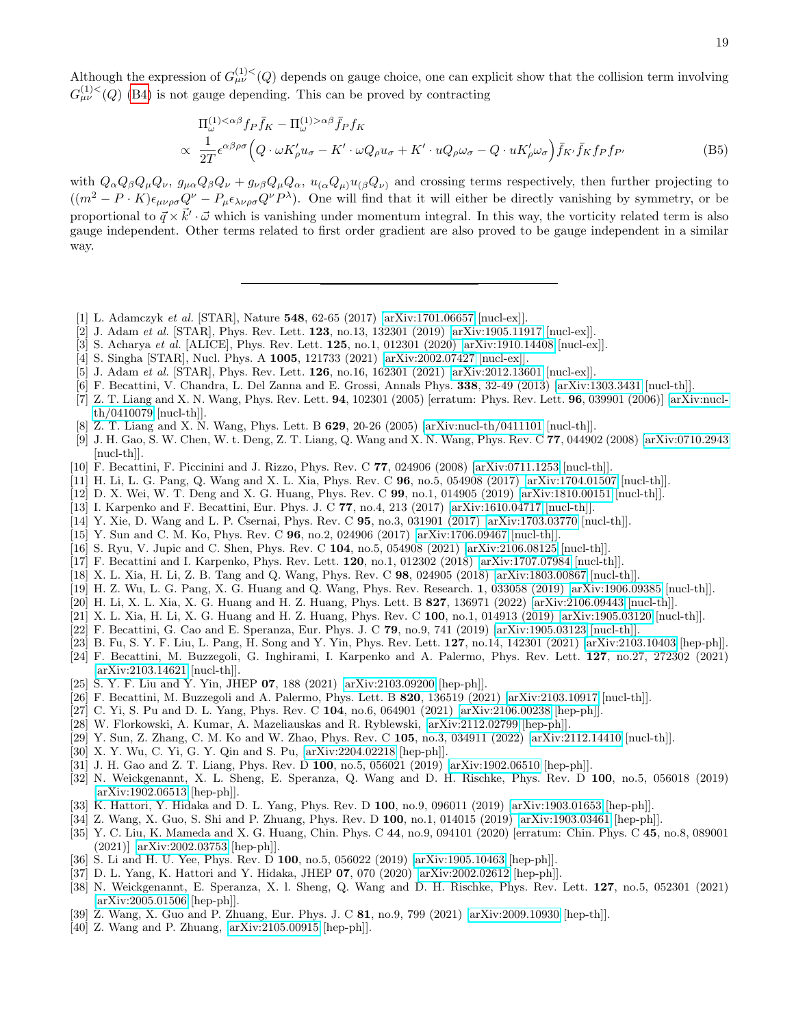Although the expression of  $G_{\mu\nu}^{(1)<}(Q)$  depends on gauge choice, one can explicit show that the collision term involving  $G_{\mu\nu}^{(1)}(Q)$  [\(B4\)](#page-17-2) is not gauge depending. This can be proved by contracting

$$
\Pi_{\omega}^{(1) < \alpha \beta} f_P \bar{f}_K - \Pi_{\omega}^{(1) > \alpha \beta} \bar{f}_P f_K
$$
\n
$$
\propto \frac{1}{2T} \epsilon^{\alpha \beta \rho \sigma} \Big( Q \cdot \omega K'_{\rho} u_{\sigma} - K' \cdot \omega Q_{\rho} u_{\sigma} + K' \cdot u Q_{\rho} \omega_{\sigma} - Q \cdot u K'_{\rho} \omega_{\sigma} \Big) \bar{f}_K \cdot \bar{f}_K f_P f_{P'} \tag{B5}
$$

with  $Q_{\alpha}Q_{\beta}Q_{\mu}Q_{\nu}$ ,  $g_{\mu\alpha}Q_{\beta}Q_{\nu} + g_{\nu\beta}Q_{\mu}Q_{\alpha}$ ,  $u_{(\alpha}Q_{\mu)}u_{(\beta}Q_{\nu)}$  and crossing terms respectively, then further projecting to  $((m^2 - P \cdot K)\epsilon_{\mu\nu\rho\sigma}Q^{\nu} - P_{\mu}\epsilon_{\lambda\nu\rho\sigma}Q^{\nu}P^{\lambda}).$  One will find that it will either be directly vanishing by symmetry, or be proportional to  $\vec{q} \times \vec{k}' \cdot \vec{\omega}$  which is vanishing under momentum integral. In this way, the vorticity related term is also gauge independent. Other terms related to first order gradient are also proved to be gauge independent in a similar way.

- <span id="page-18-0"></span>[1] L. Adamczyk et al. [STAR], Nature 548, 62-65 (2017) [\[arXiv:1701.06657](http://arxiv.org/abs/1701.06657) [nucl-ex]].
- <span id="page-18-7"></span>[2] J. Adam et al. [STAR], Phys. Rev. Lett.  $123$ , no.13, 132301 (2019) [\[arXiv:1905.11917](http://arxiv.org/abs/1905.11917) [nucl-ex]].
- [3] S. Acharya et al. [ALICE], Phys. Rev. Lett. **125**, no.1, 012301 (2020) [\[arXiv:1910.14408](http://arxiv.org/abs/1910.14408) [nucl-ex]].
- [4] S. Singha [STAR], Nucl. Phys. A 1005, 121733 (2021) [\[arXiv:2002.07427](http://arxiv.org/abs/2002.07427) [nucl-ex]].
- <span id="page-18-1"></span>[5] J. Adam et al. [STAR], Phys. Rev. Lett. **126**, no.16, 162301 (2021) [\[arXiv:2012.13601](http://arxiv.org/abs/2012.13601) [nucl-ex]].
- <span id="page-18-4"></span>[6] F. Becattini, V. Chandra, L. Del Zanna and E. Grossi, Annals Phys. 338, 32-49 (2013) [\[arXiv:1303.3431](http://arxiv.org/abs/1303.3431) [nucl-th]].
- <span id="page-18-2"></span>[7] Z. T. Liang and X. N. Wang, Phys. Rev. Lett. 94, 102301 (2005) [erratum: Phys. Rev. Lett. 96, 039901 (2006)] [\[arXiv:nucl](http://arxiv.org/abs/nucl-th/0410079)[th/0410079](http://arxiv.org/abs/nucl-th/0410079) [nucl-th]].
- [8] Z. T. Liang and X. N. Wang, Phys. Lett. B 629, 20-26 (2005) [\[arXiv:nucl-th/0411101](http://arxiv.org/abs/nucl-th/0411101) [nucl-th]].
- [9] J. H. Gao, S. W. Chen, W. t. Deng, Z. T. Liang, Q. Wang and X. N. Wang, Phys. Rev. C 77, 044902 (2008) [\[arXiv:0710.2943](http://arxiv.org/abs/0710.2943) [nucl-th]].
- <span id="page-18-3"></span>[10] F. Becattini, F. Piccinini and J. Rizzo, Phys. Rev. C 77, 024906 (2008) [\[arXiv:0711.1253](http://arxiv.org/abs/0711.1253) [nucl-th]].
- <span id="page-18-5"></span>[11] H. Li, L. G. Pang, Q. Wang and X. L. Xia, Phys. Rev. C 96, no.5, 054908 (2017) [\[arXiv:1704.01507](http://arxiv.org/abs/1704.01507) [nucl-th]].
- [12] D. X. Wei, W. T. Deng and X. G. Huang, Phys. Rev. C 99, no.1, 014905 (2019) [\[arXiv:1810.00151](http://arxiv.org/abs/1810.00151) [nucl-th]].
- [13] I. Karpenko and F. Becattini, Eur. Phys. J. C 77, no.4, 213 (2017) [\[arXiv:1610.04717](http://arxiv.org/abs/1610.04717) [nucl-th]].
- [14] Y. Xie, D. Wang and L. P. Csernai, Phys. Rev. C 95, no.3, 031901 (2017) [\[arXiv:1703.03770](http://arxiv.org/abs/1703.03770) [nucl-th]].
- [15] Y. Sun and C. M. Ko, Phys. Rev. C 96, no.2, 024906 (2017) [\[arXiv:1706.09467](http://arxiv.org/abs/1706.09467) [nucl-th]].
- <span id="page-18-6"></span>[16] S. Ryu, V. Jupic and C. Shen, Phys. Rev. C 104, no.5, 054908 (2021) [\[arXiv:2106.08125](http://arxiv.org/abs/2106.08125) [nucl-th]].
- <span id="page-18-8"></span>[17] F. Becattini and I. Karpenko, Phys. Rev. Lett. 120, no.1, 012302 (2018) [\[arXiv:1707.07984](http://arxiv.org/abs/1707.07984) [nucl-th]].
- <span id="page-18-9"></span>[18] X. L. Xia, H. Li, Z. B. Tang and Q. Wang, Phys. Rev. C 98, 024905 (2018) [\[arXiv:1803.00867](http://arxiv.org/abs/1803.00867) [nucl-th]].
- <span id="page-18-10"></span>[19] H. Z. Wu, L. G. Pang, X. G. Huang and Q. Wang, Phys. Rev. Research. 1, 033058 (2019) [\[arXiv:1906.09385](http://arxiv.org/abs/1906.09385) [nucl-th]].
- <span id="page-18-11"></span>[20] H. Li, X. L. Xia, X. G. Huang and H. Z. Huang, Phys. Lett. B 827, 136971 (2022) [\[arXiv:2106.09443](http://arxiv.org/abs/2106.09443) [nucl-th]].
- <span id="page-18-12"></span>[21] X. L. Xia, H. Li, X. G. Huang and H. Z. Huang, Phys. Rev. C 100, no.1, 014913 (2019) [\[arXiv:1905.03120](http://arxiv.org/abs/1905.03120) [nucl-th]].
- <span id="page-18-13"></span>[22] F. Becattini, G. Cao and E. Speranza, Eur. Phys. J. C 79, no.9, 741 (2019) [\[arXiv:1905.03123](http://arxiv.org/abs/1905.03123) [nucl-th]].
- <span id="page-18-14"></span>[23] B. Fu, S. Y. F. Liu, L. Pang, H. Song and Y. Yin, Phys. Rev. Lett. 127, no.14, 142301 (2021) [\[arXiv:2103.10403](http://arxiv.org/abs/2103.10403) [hep-ph]].
- [24] F. Becattini, M. Buzzegoli, G. Inghirami, I. Karpenko and A. Palermo, Phys. Rev. Lett. 127, no.27, 272302 (2021) [\[arXiv:2103.14621](http://arxiv.org/abs/2103.14621) [nucl-th]].
- [25] S. Y. F. Liu and Y. Yin, JHEP 07, 188 (2021) [\[arXiv:2103.09200](http://arxiv.org/abs/2103.09200) [hep-ph]].
- <span id="page-18-15"></span>[26] F. Becattini, M. Buzzegoli and A. Palermo, Phys. Lett. B 820, 136519 (2021) [\[arXiv:2103.10917](http://arxiv.org/abs/2103.10917) [nucl-th]].
- <span id="page-18-16"></span>[27] C. Yi, S. Pu and D. L. Yang, Phys. Rev. C 104, no.6, 064901 (2021) [\[arXiv:2106.00238](http://arxiv.org/abs/2106.00238) [hep-ph]].
- [28] W. Florkowski, A. Kumar, A. Mazeliauskas and R. Ryblewski, [\[arXiv:2112.02799](http://arxiv.org/abs/2112.02799) [hep-ph]].
- [29] Y. Sun, Z. Zhang, C. M. Ko and W. Zhao, Phys. Rev. C 105, no.3, 034911 (2022) [\[arXiv:2112.14410](http://arxiv.org/abs/2112.14410) [nucl-th]].
- <span id="page-18-17"></span>[30] X. Y. Wu, C. Yi, G. Y. Qin and S. Pu, [\[arXiv:2204.02218](http://arxiv.org/abs/2204.02218) [hep-ph]].
- <span id="page-18-18"></span>[31] J. H. Gao and Z. T. Liang, Phys. Rev. D 100, no.5, 056021 (2019) [\[arXiv:1902.06510](http://arxiv.org/abs/1902.06510) [hep-ph]].
- [32] N. Weickgenannt, X. L. Sheng, E. Speranza, Q. Wang and D. H. Rischke, Phys. Rev. D 100, no.5, 056018 (2019) [\[arXiv:1902.06513](http://arxiv.org/abs/1902.06513) [hep-ph]].
- [33] K. Hattori, Y. Hidaka and D. L. Yang, Phys. Rev. D 100, no.9, 096011 (2019) [\[arXiv:1903.01653](http://arxiv.org/abs/1903.01653) [hep-ph]].
- <span id="page-18-19"></span>[34] Z. Wang, X. Guo, S. Shi and P. Zhuang, Phys. Rev. D 100, no.1, 014015 (2019) [\[arXiv:1903.03461](http://arxiv.org/abs/1903.03461) [hep-ph]].
- [35] Y. C. Liu, K. Mameda and X. G. Huang, Chin. Phys. C 44, no.9, 094101 (2020) [erratum: Chin. Phys. C 45, no.8, 089001 (2021)] [\[arXiv:2002.03753](http://arxiv.org/abs/2002.03753) [hep-ph]].
- <span id="page-18-21"></span>[36] S. Li and H. U. Yee, Phys. Rev. D 100, no.5, 056022 (2019) [\[arXiv:1905.10463](http://arxiv.org/abs/1905.10463) [hep-ph]].
- <span id="page-18-20"></span>[37] D. L. Yang, K. Hattori and Y. Hidaka, JHEP 07, 070 (2020) [\[arXiv:2002.02612](http://arxiv.org/abs/2002.02612) [hep-ph]].
- <span id="page-18-24"></span>[38] N. Weickgenannt, E. Speranza, X. l. Sheng, Q. Wang and D. H. Rischke, Phys. Rev. Lett. 127, no.5, 052301 (2021) [\[arXiv:2005.01506](http://arxiv.org/abs/2005.01506) [hep-ph]].
- <span id="page-18-23"></span>[39] Z. Wang, X. Guo and P. Zhuang, Eur. Phys. J. C 81, no.9, 799 (2021) [\[arXiv:2009.10930](http://arxiv.org/abs/2009.10930) [hep-th]].
- <span id="page-18-22"></span>[40] Z. Wang and P. Zhuang, [\[arXiv:2105.00915](http://arxiv.org/abs/2105.00915) [hep-ph]].